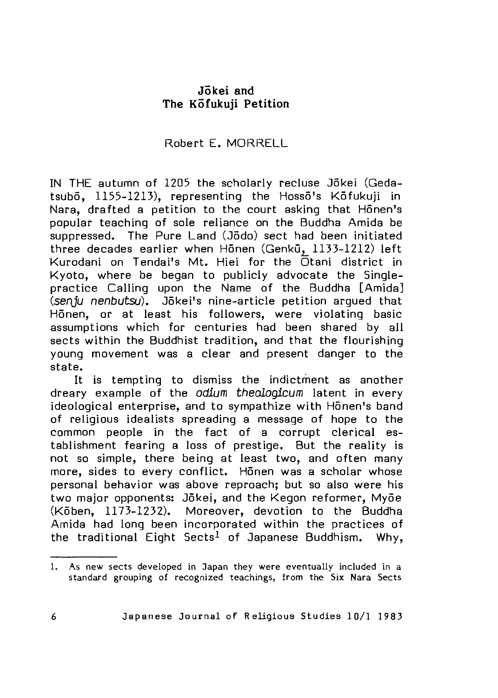# Jokei and The K5fukuji Petition

# Robert E. MORRELL

IN THE autumn of 1205 the scholarly recluse Jokei (Gedatsubo, 1155-1213), representing the Hosso's Kofukuji in Nara, drafted a petition to the court asking that Hōnen's popular teaching of sole reliance on the Buddha Amida be suppressed. The Pure Land (Jodo) sect had been initiated three decades earlier when Honen (Genku, 1133-1212) left Kurodani on Tendai's Mt. Hiei for the Otani district in K yoto, where be began to publicly advocate the Singlepractice Calling upon the Name of the Buddha [Amida] *(senju nenbutsu)*. Jõkei's nine-article petition arqued that Honen, or at least his followers, were violating basic assumptions which for centuries had been shared by all sects within the Buddhist tradition, and that the flourishing young movement was a clear and present danger to the state.

It is tempting to dismiss the indictment as another dreary example of the *odium theologicum* latent in every ideological enterprise, and to sympathize with Honen's band of religious idealists spreading a message of hope to the common people in the fact of a corrupt clerical establishment fearing a loss of prestige. But the reality is not so simple, there being at least two, and often many more, sides to every conflict. Honen was a scholar whose personal behavior was above reproach; but so also were his two major opponents: Jōkei, and the Kegon reformer, Myōe (Kōben, 1173-1232). Moreover, devotion to the Buddha Amida had long been incorporated within the practices of the traditional Eight Sects<sup>1</sup> of Japanese Buddhism. Why,

<sup>1.</sup> As new sects developed in Japan they were eventually included in a standard grouping of recognized teachings, from the Six Nara Sects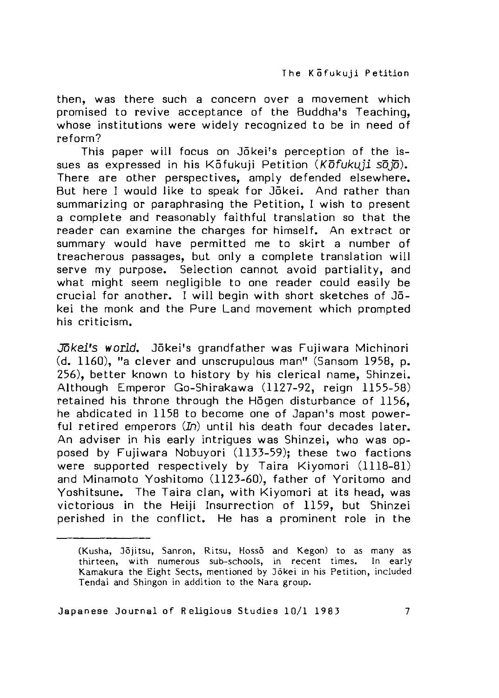then, was there such a concern over a movement which promised to revive acceptance of the Buddha's Teaching, whose institutions were widely recognized to be in need of reform ?

This paper will focus on Jokei's perception of the issues as expressed in his K 5 fukuji Petition (*K 6 fukuji* so*jo*). There are other perspectives, amply defended elsewhere. But here I would like to speak for Jokei. And rather than summarizing or paraphrasing the Petition. I wish to present a complete and reasonably faithful translation so that the reader can examine the charges for himself. An extract or summary would have permitted me to skirt a number of treacherous passages, but only a complete translation will serve my purpose. Selection cannot avoid partiality, and what might seem negligible to one reader could easily be crucial for another. I will begin with short sketches of  $J\bar{0}$ kei the monk and the Pure Land movement which prompted his criticism.

*Jokei's world.* Jokei's grandfather was Fujiwara Michinori  $(d, 1160)$ , "a clever and unscrupulous man" (Sansom 1958, p. 256), better known to history by his clerical name, Shinzei. Although Emperor Go-Shirakawa (1127-92, reign 1155-58) retained his throne through the Hogen disturbance of 1156. he abdicated in 1158 to become one of Japan's most powerful retired emperors (In) until his death four decades later. An adviser in his early intrigues was Shinzei, who was opposed by Fujiwara Nobuyori (1133-59); these two factions were supported respectively by Taira Kiyomori (1118-81) and Minamoto Yoshitomo (1123-60), father of Yoritomo and Yoshitsune. The Taira clan, with Kiyomori at its head, was victorious in the Heiji Insurrection of 1159, but Shinzei perished in the conflict. He has a prominent role in the

<sup>(</sup>Kusha, Jõjitsu, Sanron, Ritsu, Hossõ and Kegon) to as many as thirteen, with numerous sub-schools, in recent times. In early Kamakura the Eight Sects, mentioned by Jokei in his Petition, included Tendai and Shingon in addition to the Nara group.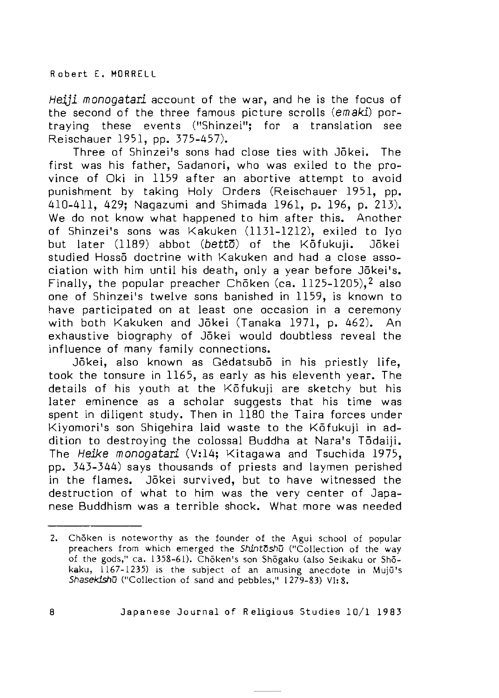Heiji monogatari account of the war, and he is the focus of the second of the three famous picture scrolls (emaki) portraving these events ("Shinzei": for a translation see Reischauer 1951, pp. 375-457).

Three of Shinzei's sons had close ties with Jokei. The first was his father, Sadanori, who was exiled to the province of Oki in 1159 after an abortive attempt to avoid punishment by taking Holy Orders (Reischauer 1951, pp. 410-411, 429; Nagazumi and Shimada 1961, p. 196, p. 213). We do not know what happened to him after this. Another of Shinzei's sons was Kakuken (1131-1212), exiled to Iyo but later (1189) abbot (betto) of the Kofukuji. Jokei studied Hosso doctrine with Kakuken and had a close association with him until his death, only a year before Jōkei's. Finally, the popular preacher Choken (ca.  $1125-1205$ ),<sup>2</sup> also one of Shinzei's twelve sons banished in 1159, is known to have participated on at least one occasion in a ceremony with both Kakuken and Jōkei (Tanaka 1971, p. 462). An exhaustive biography of Jōkei would doubtless reveal the influence of many family connections.

Jōkei, also known as Gedatsubō in his priestly life, took the tonsure in 1165, as early as his eleventh year. The details of his youth at the Kofukuji are sketchy but his later eminence as a scholar suggests that his time was spent in diligent study. Then in 1180 the Taira forces under Kiyomori's son Shigehira laid waste to the Kōfukuji in addition to destroying the colossal Buddha at Nara's Tōdaiji. The *Heike monogatari* (V:14; Kitagawa and Tsuchida 1975, pp. 343-344) says thousands of priests and laymen perished in the flames. Jokei survived, but to have witnessed the destruction of what to him was the very center of Japanese Buddhism was a terrible shock. What more was needed

<sup>2.</sup> Choken is noteworthy as the founder of the Agui school of popular preachers from which emerged the *Shintoshu* ("Collection of the way of the gods," ca. 1358-61). Chōken's son Shōgaku (also Seikaku or Shōkaku, 1167-1235) is the subject of an amusing anecdote in Mujū's *Shasekishu* ("Collection of sand and pebbles," 1279-83) VI: 8.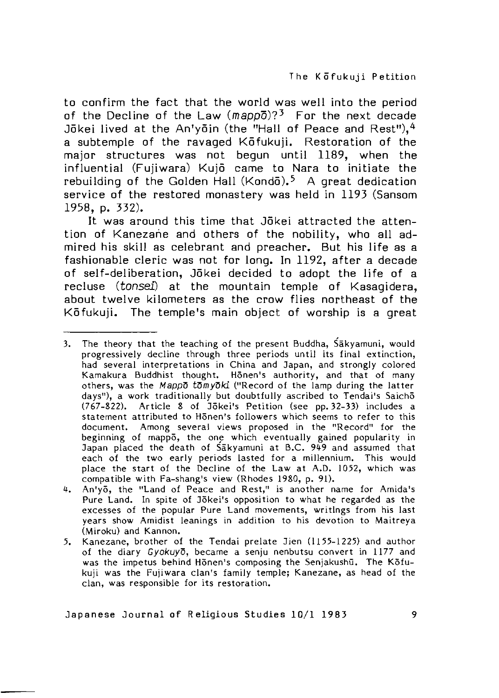to confirm the fact that the world was well into the period of the Decline of the Law  $(mapp\overline{o})$ ?<sup>3</sup> For the next decade Jokei lived at the An'yoin (the "Hall of Peace and Rest"),  $4$ a subtemple of the ravaged Kotfukuji. Restoration of the major structures was not begun until 1189, when the in fluential (Fujiwara) Kujō came to Nara to initiate the rebuilding of the Golden Hall (Kondo).<sup>5</sup> A great dedication service of the restored monastery was held in 1193 (Sansom 1958, p. 332).

It was around this time that Jokei attracted the attention of Kanezane and others of the nobility, who all admired his skill as celebrant and preacher. But his life as a fashionable cleric was not for long. In 1192, after a decade of self-deliberation, Jōkei decided to adopt the life of a recluse *(tonsei)* at the mountain temple of Kasagidera. about twelve kilometers as the crow flies northeast of the Kōfukuji. The temple's main object of worship is a great

3. The theory that the teaching of the present Buddha, Sakyamuni, would progressively decline through three periods until its final extinction, had several interpretations in China and Japan, and strongly colored Kamakura Buddhist thought. Honen's authority, and that of many others, was the *Mappo* tomyoki ("Record of the lamp during the latter days"), a work traditionally but doubtfully ascribed to Tendai's Saicho (767-822). Article 8 of Jökei's Petition (see pp. 32-33) includes a statement attributed to Honen's followers which seems to refer to this document. Among several views proposed in the "Record" for the beginning of mappo, the one which eventually gained popularity in Japan placed the death of Sakyamuni at B.C. 949 and assumed that each of the two early periods lasted for a millennium. This would place the start of the Decline of the Law at A.D. 1052, which was compatible with Fa-shang's view (Rhodes 1980, p. 91).

- 4. An'yō, the "Land of Peace and Rest," is another name for Amida's Pure Land. In spite of Jōkei's opposition to what he regarded as the excesses of the popular Pure Land movements, writings from his last years show Amidist leanings in addition to his devotion to Maitreya (Miroku) and Kannon.
- 5. Kanezane, brother of the Tendai prelate Jien (1155-1225) and author of the diary *Gyokuyo*, became a senju nenbutsu convert in 1177 and was the impetus behind Honen's composing the Senjakushu. The Kofukuji was the Fujiwara clan's family temple; Kanezane, as head of the clan, was responsible for its restoration.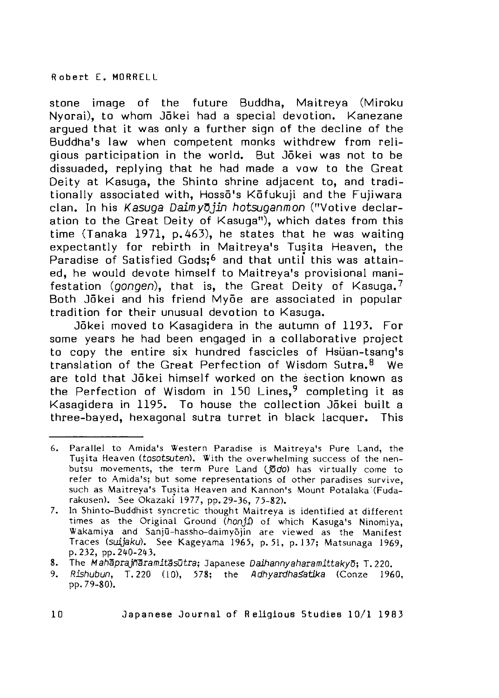stone image of the future Buddha, Maitreya (Miroku Nvorai), to whom Jōkei had a special devotion. Kanezane arqued that it was only a further sign of the decline of the Buddha's law when competent monks withdrew from religious participation in the world. But Jokei was not to be dissuaded, replying that he had made a vow to the Great Deity at Kasuga, the Shinto shrine adjacent to, and traditionally associated with, Hosso's Kofukuji and the Fujiwara clan. In his *K*asuga Daim yDjin *hotsuganmon* ("V otive declaration to the Great Deity of Kasuga"), which dates from this time (Tanaka 1971, p.463), he states that he was waiting expectantly for rebirth in Maitreya's Tusita Heaven, the Paradise of Satisfied Gods;<sup>6</sup> and that until this was attained, he would devote himself to Maitreva's provisional manifestation (gongen), that is, the Great Deity of Kasuga.<sup>7</sup> Both Jōkei and his friend Myōe are associated in popular tradition for their unusual devotion to Kasuga.

Jokei moved to Kasagidera in the autumn of 1193. For some years he had been engaged in a collaborative project to copy the entire six hundred fascicles of Hsüan-tsang's translation of the Great Perfection of Wisdom Sutra.<sup>8</sup> We are told that Jōkei himself worked on the section known as the Perfection of Wisdom in 150 Lines,<sup>9</sup> completing it as Kasagidera in 1195. To house the collection Jökei built a three-bayed, hexagonal sutra turret in black lacquer. This

<sup>6.</sup> Parallel to Amida's Western Paradise is Maitreva's Pure Land, the Tusita Heaven (tosotsuten). With the overwhelming success of the nenbutsu movements, the term Pure Land ( $\bar{p}$ do) has virtually come to refer to Amida's; but some representations of other paradises survive, such as Maitreya's Tusita Heaven and Kannon's Mount Potalaka (Fudarakusen). See Okazaki 1977, pp. 29-36, 75-82).

<sup>7.</sup> In Shinto-Buddhist syncretic thought Maitreya is identified at different times as the Original Ground (honji) of which Kasuga's Ninomiya, Wakamiya and Sanjū-hassho-daimyojin are viewed as the Manifest Traces (suijaku). See Kageyama 1965, p. 51, p. 137; Matsunaga 1969, p. 232, pp. 240-243.

<sup>8</sup>\_ The M*ahaprajn'Sramit'Ssutra* Japanese *Daihannyaharamittakyo-j* T. 220.

<sup>9.</sup> Rishubun, T. 220 (10), 578; the *Adhyardha satika* (Conze 1960, pp. 79-80).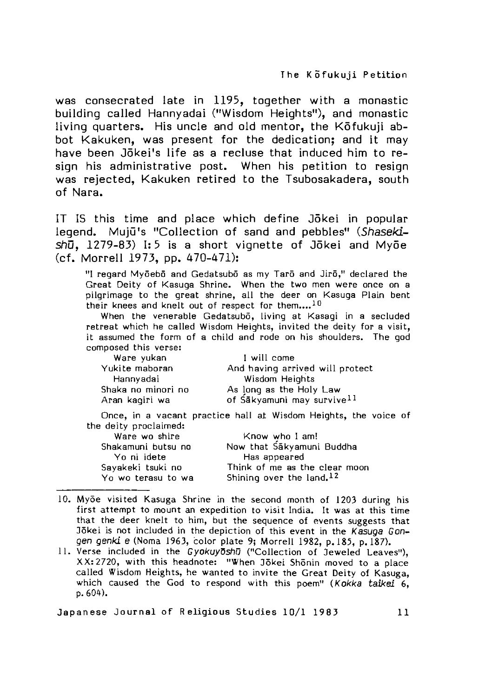was consecrated late in 1195, together with a monastic building called Hannyadai ("Wisdom Heights"), and monastic living quarters. His uncle and old mentor, the Kofukuji abbot Kakuken, was present for the dedication; and it may have been Jōkei's life as a recluse that induced him to resign his administrative post. When his petition to resign was rejected, Kakuken retired to the Tsubosakadera, south of Nara.

IT IS this time and place which define Jokei in popular legend. Muiū's "Collection of sand and pebbles" *(Shaseki-* $\sin$ <sup> $\frac{1}{2}$ </sup> 1279-83) I: 5 is a short vignette of Jokei and Myoe (cf. Morrell 1973. pp. 470-471):

"I regard Myōebō and Gedatsubō as my Tarō and Jirō," declared the Great Deity of Kasuga Shrine. When the two men were once on a pilgrimage to the great shrine, all the deer on Kasuga Plain bent their knees and knelt out of respect for them....<sup>10</sup>

When the venerable Gedatsubo, living at Kasagi in a secluded retreat which he called Wisdom Heights, invited the deity for a visit, it assumed the form of a child and rode on his shoulders. The god composed this verse:

| Ware yukan         | I will come                            |
|--------------------|----------------------------------------|
| Yukite maboran     | And having arrived will protect        |
| Hannyadai          | Wisdom Heights                         |
| Shaka no minori no | As long as the Holy Law                |
| Aran kagiri wa     | of Sakyamuni may survive <sup>11</sup> |

Once, in a vacant practice hall at Wisdom Heights, the voice of the deity proclaimed:

| Ware wo shire      | Know who I am!                |
|--------------------|-------------------------------|
| Shakamuni butsu no | Now that Sakyamuni Buddha     |
| Yo ni idete        | Has appeared                  |
| Savakeki tsuki no  | Think of me as the clear moon |
| Yo wo terasu to wa | Shining over the land, $12$   |

- 10. Myōe visited Kasuga Shrine in the second month of 1203 during his first attempt to mount an expedition to visit India. It was at this time that the deer knelt to him, but the sequence of events suggests that Jōkei is not included in the depiction of this event in the Kasuga Gongen genki e (Noma 1963, color plate 9; Morrell 1982, p. 185, p. 187).
- 11. Verse included in the *Gyokuyoshu* ("Collection of Jeweled Leaves"), XX: 2720, with this headnote: "When Jōkei Shōnin moved to a place called Wisdom Heights, he wanted to invite the Great Deity of Kasuga, which caused the God to respond with this poem" (Kokka taikei 6, p. 604).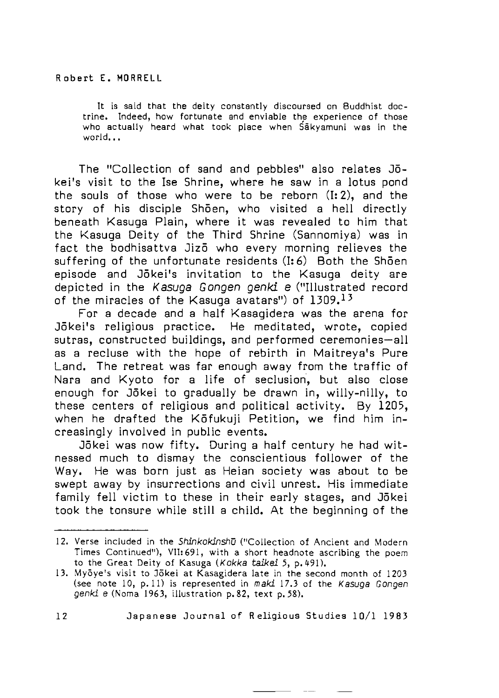It is said that the deity constantly discoursed on Buddhist doctrine. Indeed, how fortunate and enviable the experience of those who actually heard what took place when Sakyamuni was in the world...

The "Collection of sand and pebbles" also relates Jōkei's visit to the Ise Shrine, where he saw in a lotus pond the souls of those who were to be reborn  $(I: 2)$ , and the story of his disciple Shōen, who visited a hell directly beneath Kasuga Plain, where it was revealed to him that the Kasuga Deity of the Third Shrine (Sannomiya) was in fact the bodhisattva Jizo who every morning relieves the suffering of the unfortunate residents  $(1:6)$  Both the Shoen episode and Jōkei's invitation to the Kasuga deity are depicted in the *Kasuga Gongen genki e* ("Illustrated record of the miracles of the Kasuga avatars") of  $1309$ ,  $13$ 

For a decade and a half Kasagidera was the arena for Jōkei's religious practice. He meditated, wrote, copied sutras, constructed buildings, and performed ceremonies-all as a recluse with the hope of rebirth in Maitreva's Pure Land. The retreat was far enough away from the traffic of Nara and K voto for a life of seclusion, but also close enough for Jōkei to gradually be drawn in, willy-nilly, to these centers of religious and political activity. By  $1205$ , when he drafted the Kōfukuji Petition, we find him increasingly involved in public events.

Jōkei was now fifty. During a half century he had witnessed much to dismay the conscientious follower of the Way. He was born just as Heian society was about to be swept away by insurrections and civil unrest. His immediate family fell victim to these in their early stages, and Jokei took the tonsure while still a child. At the beginning of the

<sup>12.</sup> Verse included in the *Shinkokinshu* ("Collection of Ancient and Modern Times Continued"), VII: 691, with a short headnote ascribing the poem to the Great Deity of Kasuga (Kokka taikei 5, p. 491).

<sup>13.</sup> Myōye's visit to Jōkei at Kasagidera late in the second month of 1203 (see note 10, p.11) is represented in *maki* 17.3 of the *Kasuga Gongen genki e* (Noma 1963, illustration p.82, text p.58).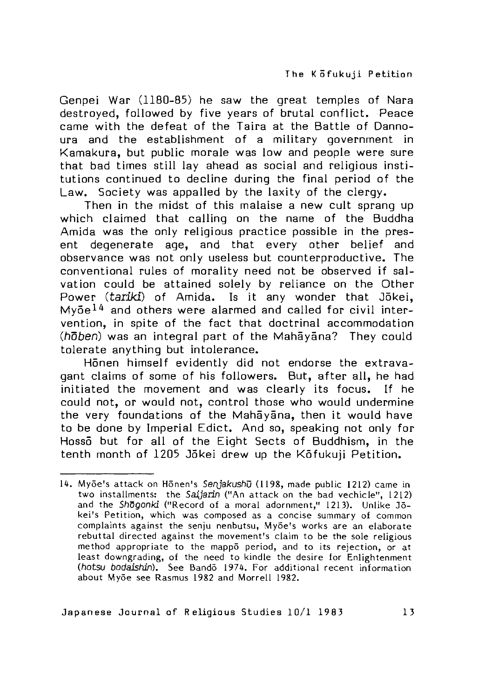Genpei War (1180-85) he saw the great temples of Nara destroyed, followed by five years of brutal conflict. Peace came with the defeat of the Taira at the Battle of Dannoura and the establishment of a military government in Kamakura, but public morale was low and people were sure that bad times still lay ahead as social and religious institutions continued to decline during the final period of the Law. Society was appalled by the laxity of the clergy.

Then in the midst of this malaise a new cult sprang up which claimed that calling on the name of the Buddha Amida was the only religious practice possible in the present degenerate age, and that every other belief and observance was not only useless but counterproductive. The conventional rules of morality need not be observed if salvation could be attained solely by reliance on the Other Power *(tariki)* of Amida. Is it any wonder that Jōkei,  $M$   $\bar{\sigma}$  and others were alarmed and called for civil intervention, in spite of the fact that doctrinal accommodation *(hoben)* was an integral part of the Mahayana? They could to lerate anything but intolerance.

Honen himself evidently did not endorse the extravagant claims of some of his followers. But, after all, he had initiated the movement and was clearly its focus. If he could not, or would not, control those who would undermine the very foundations of the Mahayana, then it would have to be done by Imperial Edict. And so, speaking not only for Hosso but for all of the Eight Sects of Buddhism, in the tenth month of 1205 Jokei drew up the Kofukuji Petition.

<sup>14.</sup> Myōe's attack on Hōnen's Senjakushū (1198, made public 1212) came in two installments: the *Saijarin* ("An attack on the bad vechicle", 1212) and the Shogonki ("Record of a moral adornment," 1213). Unlike Jokei's Petition, which was composed as a concise summary of common complaints against the senju nenbutsu, Myōe's works are an elaborate rebuttal directed against the movement's claim to be the sole religious method appropriate to the mappo period, and to its rejection, or at least downgrading, of the need to kindle the desire for Enlightenment (hotsu bodaishin). See Bando 1974. For additional recent information about Myōe see Rasmus 1982 and Morrell 1982.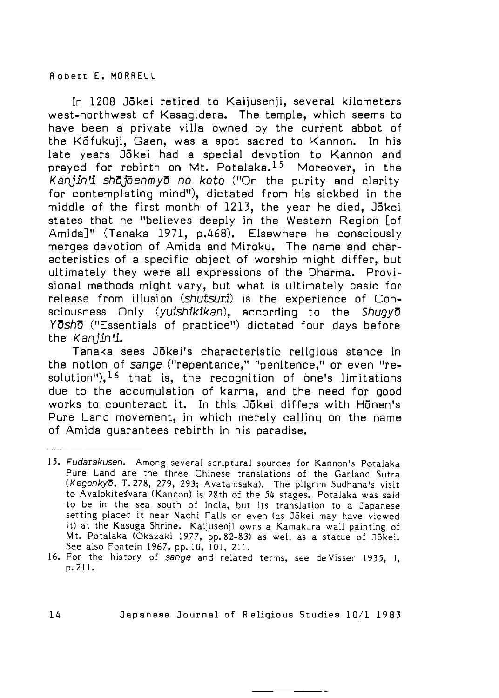# **R o b e r t E . MORR E L L**

In 1208 Jõkei retired to Kaijusenji, several kilometers west-northwest of Kasagidera. The temple, which seems to have been a private villa owned by the current abbot of the Kotukuji, Gaen, was a spot sacred to Kannon. In his late years Jōkei had a special devotion to Kannon and prayed for rebirth on Mt. Potalaka.<sup>15</sup> Moreover, in the Kanjin'i shojoenmyo no koto ("On the purity and clarity for contemplating mind"), dictated from his sickbed in the middle of the first month of 1213, the year he died, Jokei states that he "believes deeply in the Western Region [of Amida<sup>l</sup>" (Tanaka 1971, p.468). Elsewhere he consciously merges devotion of Amida and Miroku. The name and characteristics of a specific object of worship might differ, but ultimately they were all expressions of the Dharma. Provisional methods might vary, but what is ultimately basic for release from illusion *(shutsuri)* is the experience of Consciousness Only *(yuishikikan),* according to the *ShuovD YOshO* ("Essentials of practice") dictated four days before the *Kanjin \*L*

Tanaka sees Jõkei's characteristic religious stance in the notion of *sange* ("repentance," "penitence," or even "resolution<sup>"</sup>),<sup>16</sup> that is, the recognition of one's limitations due to the accumulation of karma, and the need for good works to counteract it. In this Jokei differs with Honen's Pure Land movement, in which merely calling on the name of Amida quarantees rebirth in his paradise.

<sup>15,</sup> Fudarakusen, Among several scriptural sources for Kannon's Potalaka Pure Land are the three Chinese translations of the Garland Sutra *(Kegonkyo*, T. 278, 279, 293; Avatamsaka). The pilgrim Sudhana's visit to Avalokite svara (Kannon) is 28th of the 54 stages. Potalaka was said to be in the sea south of India, but its translation to a Japanese setting placed it near Nachi Falls or even (as Jõkei may have viewed it) at the Kasuga Shrine. Kaijusenji owns a Kamakura wall painting of Mt. Potalaka (Okazaki 1977, pp. 82-83) as well as a statue of Jōkei. See also Fontein 1967, pp. 10, 101, 211.

<sup>16.</sup> For the history of sange and related terms, see deVisser 1935, I, p. 211.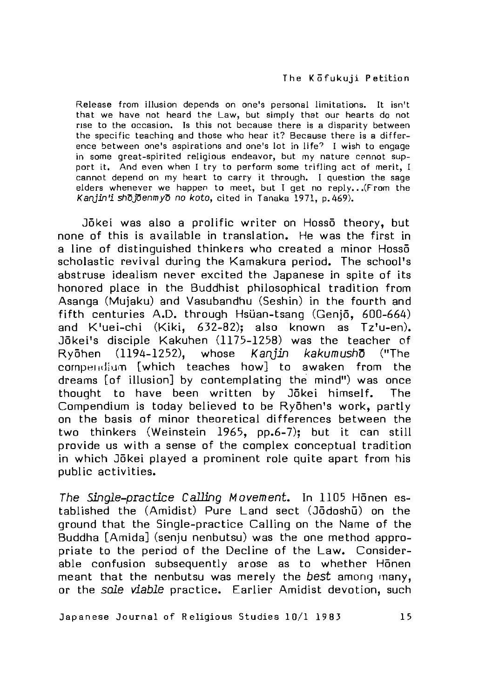Release from illusion depends on one's personal limitations. It isn't that we have not heard the Law, but simply that our hearts do not rise to the occasion. Is this not because there is a disparity between the specific teaching and those who hear it? Because there is a difference between one's aspirations and one's lot in life? I wish to engage in some great-spirited religious endeavor, but my nature cannot support it. And even when I try to perform some trifling act of merit, I cannot depend on my heart to carry it through. I question the sage elders whenever we happen to meet, but I get no reply... (From the *Kanjin'i shojoenmyo no koto*, cited in Tanaka 1971, p. 469).

Jōkei was also a prolific writer on Hossō theory, but none of this is available in translation. He was the first in a line of distinguished thinkers who created a minor Hossō scholastic revival during the Kamakura period. The school's abstruse idealism never excited the Japanese in spite of its honored place in the Buddhist philosophical tradition from Asanga (Mujaku) and Vasubandhu (Seshin) in the fourth and fifth centuries A.D. through Hsüan-tsang (Genjō, 600-664) and K'uei-chi (Kiki, 632-82); also known as Tz'u-en). Jōkei's disciple Kakuhen (1175-1258) was the teacher of Ryohen (1194-1252), whose *K*a n jin *kakumush* ("The compendium [which teaches how] to awaken from the dreams [of illusion] by contemplating the mind") was once thought to have been written by Jokei himself. The Compendium is today believed to be Ryōhen's work, partly on the basis of minor theoretical differences between the two thinkers (Weinstein 1965, pp.6-7); but it can still provide us with a sense of the complex conceptual tradition in which Jōkei played a prominent role quite apart from his public activities.

*The Single-practice Calling Movement.* In 1105 Honen established the (Amidist) Pure Land sect (Jodoshu) on the ground that the Single-practice Calling on the Name of the Buddha [Amida] (senju nenbutsu) was the one method appropriate to the period of the Decline of the Law. Considerable confusion subsequently arose as to whether Honen meant that the nenbutsu was merely the *best* among many, or the *sole viable* practice. Earlier Amidist devotion, such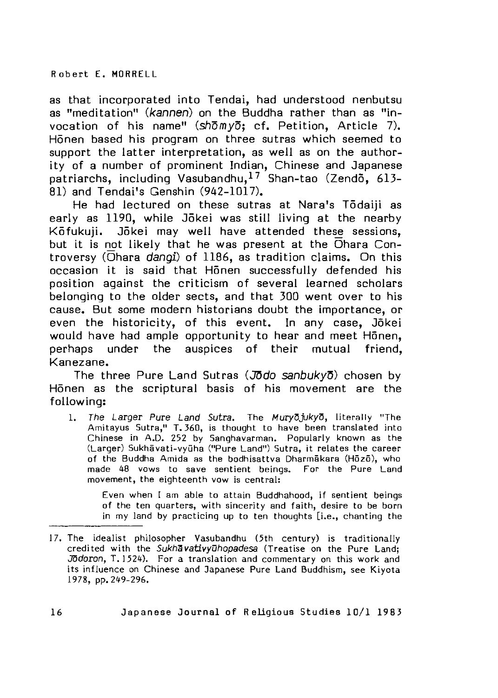as that incorporated into Tendai, had understood nenbutsu as "meditation" (kannen) on the Buddha rather than as "invocation of his name"  $\sin \theta$ ; cf. Petition, Article 7). Honen based his program on three sutras w hich seemed to support the latter interpretation, as well as on the authority of a number of prominent Indian, Chinese and Japanese patriarchs, including Vasubandhu,  $17$  Shan-tao (Zendo, 613-81) and Tendai's Genshin (942-1017).

He had lectured on these sutras at Nara's Todaiji as early as 1190, while Jokei was still living at the nearby Kōfukuji. Jōkei may well have attended these sessions, but it is not likely that he was present at the  $\overline{O}$ hara Controversy (Ohara *dangi*) of 1186, as tradition claims. On this occasion it is said that Honen successfully defended his position against the criticism of several learned scholars belonging to the older sects, and that 300 went over to his cause. But some modern historians doubt the importance, or even the historicity, of this event. In any case, Jõkei would have had ample opportunity to hear and meet Honen, perhaps under the auspices of their mutual friend. Kanezane.

The three Pure Land Sutras (JDdo *sanbuky )* chosen by Honen as the scriptural basis of his movement are the following:

1. The Larger Pure Land Sutra. The Muryo<sub>l</sub>ukyo, literally "The Amitayus Sutra," T. 360, is thought to have been translated into Chinese in A.D. 252 by Sanghavarman. Popularly known as the (Larger) Sukhāvati-vyūha ("Pure Land") Sutra, it relates the career of the Buddha Amida as the bodhisattva Dharmakara (Hozo), who made 48 vows to save sentient beings. For the Pure Land movement, the eighteenth vow is central:

Even when I am able to attain Buddhahood, if sentient beings of the ten quarters, with sincerity and faith, desire to be born in my land by practicing up to ten thoughts [i.e., chanting the

<sup>17.</sup> The idealist philosopher Vasubandhu (5th century) is traditionally credited with the *Sukhavativyuhopadesa* (Treatise on the Pure Land; *Jodoron*, T.1524). For a translation and commentary on this work and its influence on Chinese and Japanese Pure Land Buddhism, see Kiyota 1978, pp. 249-296.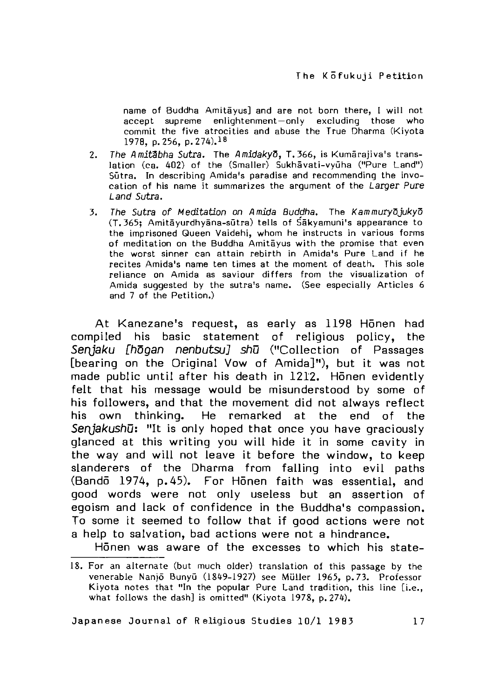name of Buddha Amitayus] and are not born there, I will not accept supreme enlightenment-only excluding those who commit the five atrocities and abuse the True Dharma (Kiyota 1978, p. 256, p. 274).<sup>18</sup>

- 2. The Amitabha Sutra. The Amidakyo, T. 366, is Kumara jiva's translation (ca. 402) of the (Smaller) Sukhavati-vyuha ("Pure Land") Sūtra. In describing Amida's paradise and recommending the invocation of his name it summarizes the argument of the *Larger Pure Land Sutra.*
- 3. The Sutra of Meditation on Amida Buddha. The Kammuryojukyo (T. 365; Amita yurdhyana-sutra) tells of Sakyamuni's appearance to the imprisoned Queen Vaidehi, whom he instructs in various forms of meditation on the Buddha Amitayus with the promise that even the worst sinner can attain rebirth in Amida's Pure Land if he recites Amida's name ten times at the moment of death. This sole reliance on Amida as saviour differs from the visualization of Amida suggested by the sutra's name. (See especially Articles 6 and 7 of the Petition.)

At Kanezane's request, as early as 1198 Honen had compiled his basic statement of religious policy, the Senjaku [hōgan nenbutsu] shū ("Collection of Passages [bearing on the Original Vow of Amida]"), but it was not made public until after his death in 1212. Honen evidently felt that his message would be misunderstood by some of his followers, and that the movement did not always reflect his own thinking. He remarked at the end of the Senjakushū: "It is only hoped that once you have graciously glanced at this writing you will hide it in some cavity in the way and will not leave it before the window, to keep slanderers of the Dharma from falling into evil paths (Bandō 1974, p.45). For Hōnen faith was essential, and good words were not only useless but an assertion of egoism and lack of confidence in the Buddha's compassion. To some it seemed to follow that if good actions were not a help to salvation, bad actions were not a hindrance.

Honen was aware of the excesses to which his state-

<sup>18.</sup> For an alternate (but much older) translation of this passage by the venerable Nanjō Bunyū (1849-1927) see Müller 1965, p. 73. Professor Kiyota notes that "In the popular Pure Land tradition, this line [i.e., what follows the dash] is omitted" (Kiyota 1978, p. 274).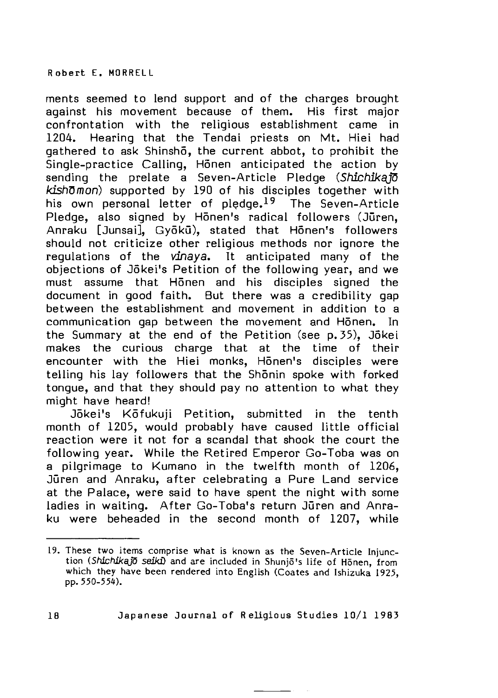**R o b e r t E . MORR E L L**

ments seemed to lend support and of the charges brought against his movement because of them. His first major confrontation with the religious establishment came in 1204. Hearing that the Tendai priests on Mt. Hiei had gathered to ask Shinsho, the current abbot, to prohibit the  $\tilde{\text{S}}$ ingle-practice Calling. Honen anticipated the action by sending the prelate a Seven-Article Pledge (Shichika<sup>10</sup>) kishomon) supported by 190 of his disciples together with his own personal letter of pledge.<sup>19</sup> The Seven-Article Pledge, also signed by Honen's radical followers (Juren, Anraku [Junsai], Gvōkū), stated that Hōnen's followers should not criticize other religious methods nor ignore the requlations of the  $\nu$ inaya. It anticipated many of the objections of Jōkei's Petition of the following year, and we must assume that Honen and his disciples signed the document in good faith. But there was a credibility gap between the establishment and movement in addition to a communication gap between the movement and Honen. In the Summary at the end of the Petition (see p. 35), Jokei makes the curious charge that at the time of their encounter with the Hiei monks, Honen's disciples were telling his lay followers that the Shonin spoke with forked tongue, and that they should pay no attention to what they might have heard!

Jōkei's Kōfukuji Petition, submitted in the tenth month of 1205, would probably have caused little official reaction were it not for a scandal that shook the court the following year. While the Retired Emperor Go-Toba was on a pilgrimage to Kumano in the twelfth month of 1206. Juren and Anraku, after celebrating a Pure Land service at the Palace, were said to have spent the night with some ladies in waiting. After Go-Toba's return Juren and Anraku were beheaded in the second month of 1207, while

<sup>19.</sup> These two items comprise what is known as the Seven-Article Injunction (Shichikajō seiki) and are included in Shunjō's life of Honen, from which they have been rendered into English (Coates and Ishizuka 1925, pp. 550-55^).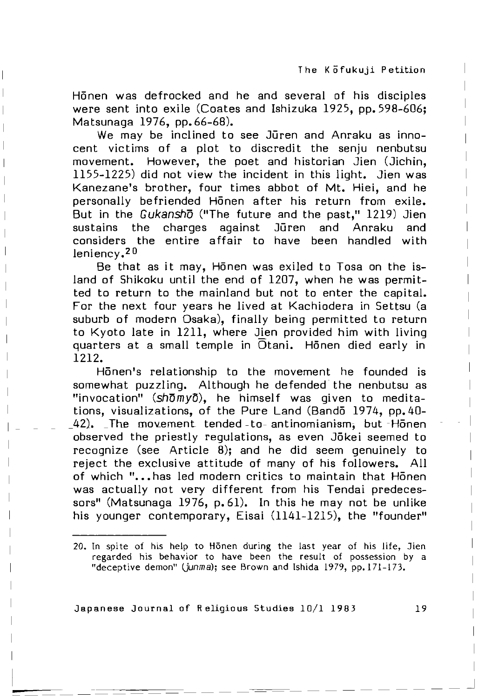Honen was defrocked and he and several of his disciples were sent into exile (Coates and Ishizuka 1925, pp. 598-606; Matsunaga 1976, pp. 66-68).

We may be inclined to see Juren and Anraku as innocent victims of a plot to discredit the senju nenbutsu m ovement. However, the poet and historian Jien (Jichin, 1155-1225) did not view the incident in this light. Jien was Kanezane's brother, four times abbot of Mt. Hiei, and he personally befriended Honen after his return from exile. But in the *Gukansho* ("The future and the past," 1219) Jien sustains the charges against Jūren and Anraku and considers the entire affair to have been handled with  $leniencv.$ <sup>20</sup>

Be that as it may, Honen was exiled to Tosa on the island of Shikoku until the end of 1207, when he was permitted to return to the mainland but not to enter the capital. For the next four years he lived at Kachiodera in Settsu (a suburb of modern Osaka), finally being permitted to return to Kvoto late in 1211, where Jien provided him with living quarters at a small temple in  $\overline{O}$ tani. Honen died early in **<sup>1212</sup>**.

H5nen's relationship to the movement he founded is somewhat puzzling. Although he defended the nenbutsu as "invocation" (shomvo), he himself was given to meditations, visualizations, of the Pure Land (Bando 1974, pp. 40-42). The movement tended -to - antinomianism, but Honen observed the priestly requlations, as even Jōkei seemed to recognize (see Article  $8$ ); and he did seem genuinely to reiect the exclusive attitude of many of his followers. All of which "... has led modern critics to maintain that Honen was actually not very different from his Tendai predecessors" (Matsunaga 1976, p. 61). In this he may not be unlike his younger contemporary, Eisai (1141-1215), the "founder"

<sup>20.</sup> In spite of his help to Honen during the last year of his life, Jien regarded his behavior to have been the result of possession by a "deceptive demon" (junma); see Brown and Ishida 1979, pp. 171-173.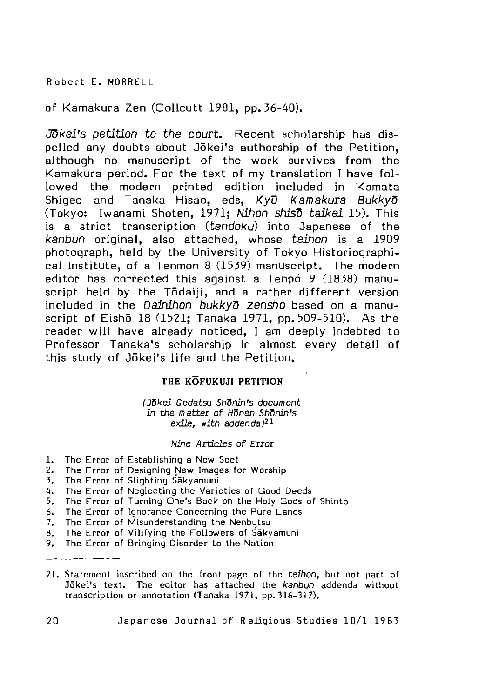of Kamakura Zen (Collcutt 1981, pp. 36-40).

Jokei's petition to the court. Recent scholarship has dispelled any doubts about Jōkei's authorship of the Petition. although no manuscript of the work survives from the Kamakura period. For the text of my translation I have followed the modern printed edition included in Kamata Shigeo and Tanaka Hisao, eds, *Kyu Kamakura Bukkyd* (Tokyo: Iwanami Shoten, 1971; *Nihon shisd taikei* 15). This is a strict transcription (tendoku) into Japanese of the kanbun original, also attached, whose *teihon* is a 1909 photograph, held by the University of Tokyo Historiographical Institute, of a Tenmon 8 (1539) manuscript. The modern editor has corrected this against a Tenpo  $9$  (1838) manuscript held by the Todaiji, and a rather different version included in the *Dainihon bukkyo zensho* based on a manuscript of Eishō 18  $(1521;$  Tanaka 1971, pp. 509-510). As the reader will have already noticed. I am deeply indebted to Professor Tanaka's scholarship in almost every detail of this study of Jōkei's life and the Petition.

# THE KOFUKUJI PETITION

*(J^kei Gedatsu Sh^nin's document in the matter of Honen Shonin's exile, with addenda)21*

# *Nine A rticles o f Error*

- 1. The Error of Establishing a New Sect
- Error of Designing New Images for Worship 2. The
- Error of Slighting Säkyamuni 3. The
- 4. The Error of Neglecting the Varieties of Good Deeds
- 5. The Error of Turning One's Back on the Holy Gods of Shinto
- 6. The Error of Ignorance Concerning the Pure Lands
- 7. The Error of Misunderstanding the Nenbutsu
- 8. The Error of Vilifying the Followers of Sākyamuni
- 9. The Error of Bringing Disorder to the Natior
- 21. Statement inscribed on the front page of the *teihon*, but not part of Jōkei's text. The editor has attached the kanbun addenda without transcription or annotation (Tanaka 1971, pp. 316-317).
- **20 Japanese Journal of Religious Studies 1 0 / 1 1 9 83**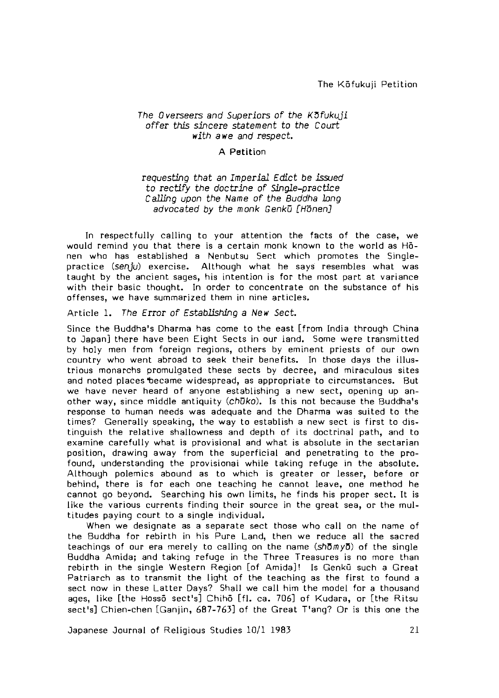The Kofukuji Petition

#### **The Overseers and Superiors of the K 3 fukuji** *o ffe r this* sin ce re *statement to the Court with a we and respect.*

#### A Petition

## requesting *that an Im perial Edict be issued* to rectify the doctrine of Single-practice *Calling upon the Name of the Buddha long advocated by the monk Genku [Honen]*

In respectfully calling to your attention the facts of the case, we would remind you that there is a certain monk known to the world as Honen who has established a Nenbutsu Sect which promotes the Singlepractice (senju) exercise. Although what he says resembles what was taught by the ancient sages, his intention is for the most part at variance with their basic thought. In order to concentrate on the substance of his offenses, we have summarized them in nine articles.

Article 1. The Error of Establishing a New Sect.

Since the Buddha's Dharma has come to the east [from India through China to Japan] there have been Eight Sects in our iand. Some were transmitted by holy men from foreign regions, others by eminent priests of our own country who went abroad to seek their benefits. In those days the illustrious monarchs promulgated these sects by decree, and miraculous sites and noted places became widespread, as appropriate to circumstances. But we have never heard of anyone establishing a new sect, opening up another way, since middle antiquity (chuko). Is this not because the Buddha's response to human needs was adequate and the Dharma was suited to the times? Generally speaking, the way to establish a new sect is first to distinguish the relative shallowness and depth of its doctrinal path, and to examine carefully what is provisional and what is absolute in the sectarian position, drawing away from the superficial and penetrating to the profound, understanding the provisional while taking refuge in the absolute. Although polemics abound as to which is greater or lesser, before or behind, there is for each one teaching he cannot leave, one method he cannot go beyond. Searching his own limits, he finds his proper sect. It is like the various currents finding their source in the great sea, or the multitudes paying court to a single individual.

When we designate as a separate sect those who call on the name of the Buddha for rebirth in his Pure Land, then we reduce all the sacred teachings of our era merely to calling on the name (shomyo) of the single Buddha Am ida; and taking refuge in the Three Treasures is no more than rebirth in the single Western Region [of Amida]! Is Genkū such a Great Patriarch as to transmit the light of the teaching as the first to found a sect now in these Latter Days? Shall we call him the model for a thousand ages, like [the Hossō sect's] Chihō [fl. ca. 706] of Kudara, or [the Ritsu sect's] Chien-chen [Ganjin, 687-763] of the Great T'ang? Or is this one the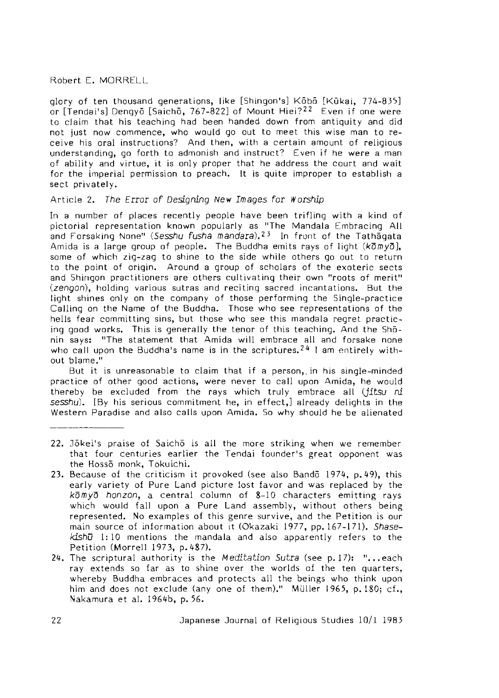glory of ten thousand generations, like [Shingon's] Kōbō [Kūkai, 774-835] or  $[T$  endai's] Dengyō  $[Saich\bar{o}, 767-822]$  of Mount Hiei $?^{22}$  Even if one were to claim that his teaching had been handed down from antiquity and did not just now commence, who would go out to meet this wise man to receive his oral instructions? And then, with a certain amount of religious understanding, go forth to admonish and instruct? Even if he were a man of ability and virtue, it is only proper that he address the court and wait for the imperial permission to preach. It is quite improper to establish a sect privately.

#### Article 2. The Error of Designing New Images for Worship

In a number of places recently people have been trifling with a kind of pictorial representation known popularly as "The Mandala Embracing All and Forsaking None" *(Sesshu fusha mandara)*,<sup>23</sup> In front of the Tathagata Amida is a large group of people. The Buddha emits rays of light  $(k\overline{\sigma}m\overline{y}\overline{\sigma})$ , some of which zig-zag to shine to the side w hile others go out to return to the point of origin. Around a group of scholars of the exoteric sects and Shingon practitioners are others cultivating their own "roots of merit" (zengon), holding various sutras and reciting sacred incantations. But the light shines only on the company of those performing the Single-practice Calling on the Name of the Buddha. Those who see representations of the hells fear committing sins, but those who see this mandala regret practicing good works. This is generally the tenor of this teaching. And the Shonin says: "The statement that Amida will embrace all and forsake none who call upon the Buddha's name is in the scriptures.<sup>24</sup> I am entirely without blame."

But it is unreasonable to claim that if a person, in his single-minded practice of other good actions, were never to call upon Amida, he would thereby be excluded from the rays which truly embrace all *(jitsu ni* sesshu). [By his serious commitment he, in effect,] already delights in the Western Paradise and also calls upon Amida. So why should he be alienated

- 22. Jõkei's praise of Saicho is all the more striking when we remember that four centuries earlier the Tendai founder's great opponent was the Hosso monk, Tokuichi.
- 23. Because of the criticism it provoked (see also Bandō 1974, p. 49), this early variety of Pure Land picture lost favor and was replaced by the *k* $\bar{\sigma}$  *myo honzon*, a central column of 8-10 characters emitting rays which would fall upon a Pure Land assembly, without others being represented. No examples of this genre survive, and the Petition is our main source of information about it (Okazaki 1977, pp. 167-171). Shasekishū 1:10 mentions the mandala and also apparently refers to the Petition (Morrell 1973, p. 487).
- 24. The scriptural authority is the *Meditation Sutra* (see p.17): "...each ray extends so far as to shine over the worlds of the ten quarters, whereby Buddha embraces and protects all the beings who think upon him and does not exclude (any one of them)." Müller 1965, p. 180; cf., Nakamura et al. 1964b, p. 56.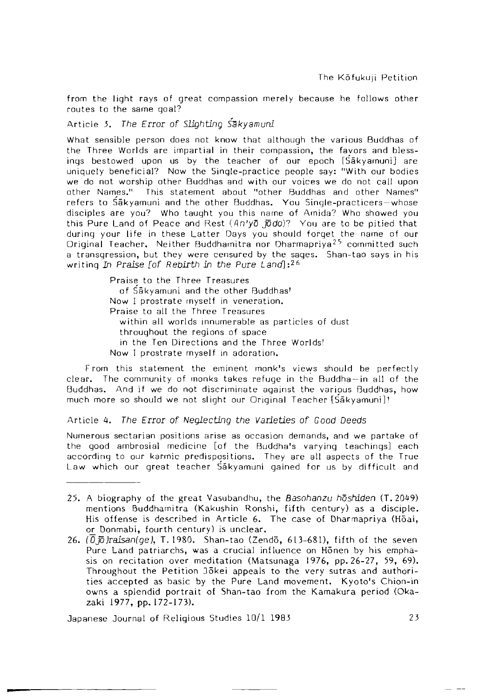from the light rays of great compassion merely because he follows other routes to the same goal?

Article 3. The Error of Slighting Sakyamuni

What sensible person does not know that although the various Buddhas of the Three Worlds are impartial in their compassion, the favors and blessings bestowed upon us by the teacher of our epoch  $[\mathrm{S} \bar{\mathrm{a}}$ kyamuni $]$  are uniquely beneficial? Now the Single-practice people say: "With our bodies we do not worship other Buddhas and with our voices we do not call upon other Names." This statement about "other Buddhas and other Names" refers to Sakyamuni and the other Buddhas. You Single-practicers-whose disciples are you? Who taught you this name of Amida? Who showed you this Pure Land of Peace and Rest *(^n'yo* Joc/o)7 You are to be pitied that during your life in these Latter Days you should forget the name of our Original Teacher. Neither Buddhamitra nor Dharmapriya<sup>25</sup> committed such a transgression, but they were censured by the sages. Shan-tao says in his writing *In* Praise [of Rebirth in the Pure Land]:<sup>26</sup>

> Praise to the Three Treasures of Säkvamuni and the other Buddhas! Now I prostrate myself in veneration. Praise to all the Three Treasures within all worlds innumerable as particles of dust throughout the regions of space in the Ten Directions and the Three Worlds! Now I prostrate myself in adoration.

From this statement the eminent monk's views should be perfectly clear. The community of monks takes refuge in the Buddha —in all of the Buddhas. And if we do not discriminate against the various Buddhas, how much more so should we not slight our Original Teacher [Sakyamuni ]!

Article 4. The Error of Neglecting the Varieties of Good Deeds

Numerous sectarian positions arise as occasion demands, and we partake of the good ambrosial medicine [of the Buddha's varying teachings] each according to our karmic predispositions. They are all aspects of the True Law which our great teacher Sakyamuni gained for us by difficult and

<sup>25.</sup> A biography of the great Vasubandhu, the *Basohanzu hoshiden* (T. 2049) mentions Buddhamitra (Kakushin Ronshi, fifth century) as a disciple. His offense is described in Article 6. The case of Dharmapriya (Hōai, or Donmabi, fourth century) is unclear.

<sup>26.</sup> *(0*  $\overline{p}$  *)raisan(qe)*, T. 1980. Shan-tao (Zendō, 613-681), fifth of the seven Pure Land patriarchs, was a crucial influence on Honen by his emphasis on recitation over meditation (Matsunaga 1976, pp. 26-27, 59, 69). Throughout the Petition 35kei appeals to the very sutras and authorities accepted as basic by the Pure Land movement. Kyoto's Chion-in owns a splendid portrait of Shan-tao from the Kamakura period (Okazaki 1977, pp. 172-173).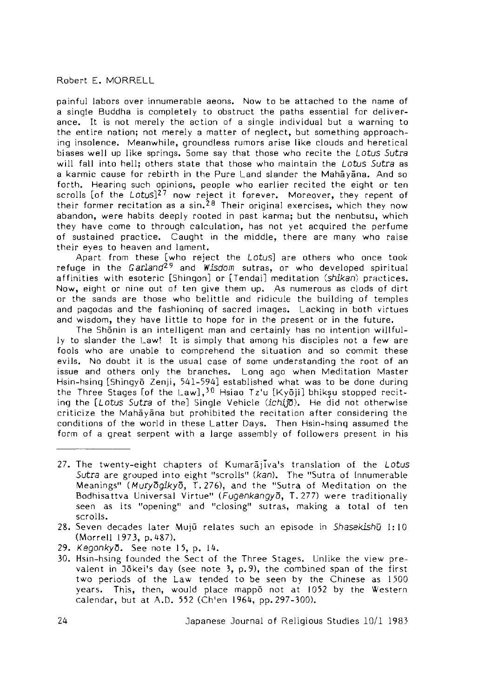painful labors over innumerable aeons. Now to be attached to the name of a single Buddha is completely to obstruct the paths essential for deliverance. It is not merely the action of a single individual but a warning to the entire nation; not merely a matter of neglect, but something approaching insolence. Meanwhile, groundless rumors arise like clouds and heretical biases well up like springs. Some say that those who recite the *Lotus Sutra* will fall into hell; others state that those who maintain the *Lotus Sutra* as a karmic cause for rebirth in the Pure Land slander the Mahayana. And so forth. Hearing such opinions, people who earlier recited the eight or ten scrolls [of the Lotus]<sup>27</sup> now reject it forever. Moreover, they repent of their former recitation as a sin.<sup>28</sup> Their original exercises, which they now abandon, were habits deeply rooted in past karma; but the nenbutsu, which they have come to through calculation, has not yet acquired the perfume of sustained practice. Caught in the middle, there are many who raise their eyes to heaven and lament.

Apart from these [who reject the Lotus] are others who once took refuge in the Garland<sup>29</sup> and *Wisdom* sutras, or who developed spiritual affinities with esoteric [Shingon] or [Tendai] meditation *(shikan)* practices. Now, eight or nine out of ten give them up. As numerous as clods of dirt or the sands are those who belittle and ridicule the building of temples and pagodas and the fashioning of sacred images. Lacking in both virtues and wisdom, they have little to hope for in the present or in the future.

The Shōnin is an intelligent man and certainly has no intention willfully to slander the Law! It is simply that among his disciples not a few are fools who are unable to comprehend the situation and so commit these evils. No doubt it is the usual case of some understanding the root of an issue and others only the branches. Long ago when Meditation Master Hsin-hsing [Shingyō Zenii, 541-594] established what was to be done during the Three Stages [of the Law],  $30$  Hsiao Tz'u [Kyoii] bhiksu stopped reciting the [Lotus *Sutra* of the] Single Vehicle *(ichiffi)*. He did not otherwise criticize the Mahayana but prohibited the recitation after considering the conditions of the world in these Latter Days. Then Hsin-hsing assumed the form of a great serpent with a large assembly of followers present in his

<sup>27.</sup> The twenty-eight chapters of Kumarajiva's translation of the Lotus Sutra are grouped into eight "scrolls" (kan). The "Sutra of Innumerable Meanings" (Muryogikyo, T. 276), and the "Sutra of Meditation on the Bodhisattva Universal Virtue" (Fugenkangyō, T. 277) were traditionally seen as its "opening" and "closing" sutras, making a total of ten scrolls.

<sup>28.</sup> Seven decades la te r Muju relates such an episode in *Shasekishu* 1:10 (Morrell 1973, p. 487).

<sup>29.</sup> *Kegonkyo*. See note 15. p. 14.

<sup>30.</sup> Hsin-hsing founded the Sect of the Three Stages. Unlike the view prevalent in Jokei's day (see note  $3$ , p.9), the combined span of the first two periods of the Law tended to be seen by the Chinese as 1500 years. This, then, would place mappo not at 1052 by the Western calendar, but at A.D. 552 (Ch'en 1964, pp. 297-300).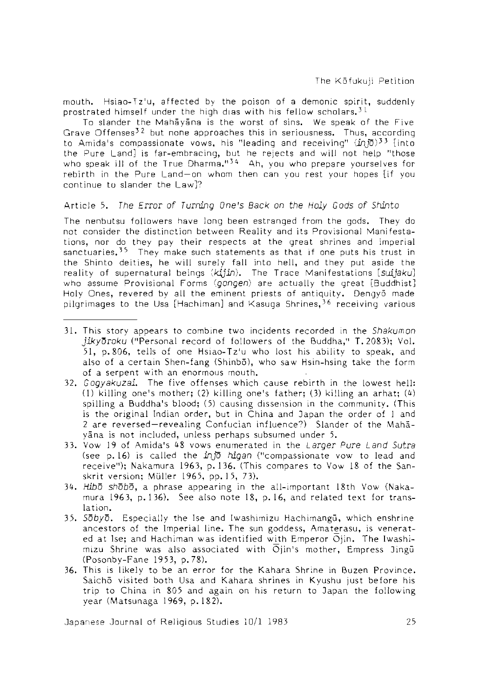mouth. Hsiao-Tz'u, a ffected by the poison of a demonic spirit, suddenly prostrated himself under the high dias with his fellow scholars.<sup>31</sup>

To slander the Mahayana is the worst of sins. We speak of the Five Grave Offenses<sup>32</sup> but none approaches this in seriousness. Thus, according to Amida's compassionate vows, his "leading and receiving"  $(in5)^3$  [into the Pure Land] is far-embracing, but he rejects and will not help "those who speak ill of the True Dharma." $34$  Ah, you who prepare yourselves for rebirth in the Pure Land-on whom then can you rest your hopes [if you continue to slander the Law]?

#### A rtic le 5. *The Error of Turning One's Back on the Holy Gods of Shinto*

The nenbutsu followers have long been estranged from the gods. They do not consider the distinction between Reality and its Provisional Manifestations, nor do they pay their respects at the great shrines and imperial sanctuaries.<sup>35</sup> They make such statements as that if one puts his trust in the Shinto deities, he will surely fall into hell, and they put aside the reality of supernatural beings *{k2jin ).* The Trace Manifestations *[suijaku]* who assume Provisional Forms (gongen) are actually the great [Buddhist] Holy Ones, revered by all the eminent priests of antiquity. Dengyō made pilgrimages to the Usa [Hachiman] and Kasuga Shrines*,^b* receiving various

- 3 1 . This story appears to combine two incidents recorded in the *Shakumon* jiky oroku ("Personal record of followers of the Buddha," T. 2083); Vol. 51, p. 806, tells of one Hsiao-Tz'u who lost his ability to speak, and also of a certain Shen-fang (Shinbo), who saw Hsin-hsing take the form of a serpent with an enormous mouth.
- 32. *Gogyakuzai.* The five offenses which cause rebirth in the lowest hell: (1) killing one's mother; (2) killing one's father; (3) killing an arhat;  $(4)$ spilling a Buddha's blood;  $(5)$  causing dissension in the community. (This is the original Indian order, but in China and Japan the order of 1 and 2 are reversed —revealing Confucian nfluence?) Slander of the Mahayana is not included, unless perhaps subsumed under 5.
- 33. Vow 19 of Am ida's " 8 vows enumerated in the *Larger Pure Land Sutra* (see p. 16) is called the in jo *higan* ("compassionate vow to lead and receive"); Nakamura 1963, p. 136. (This compares to Vow 18 of the Sanskrit version; Müller 1965, pp. 15, 73).
- 34. Hibo shobo, a phrase appearing in the all-important 18th Vow (Nakamura 1963, p.136). See also note 18, p.16, and related text for translation.
- 35. *Sobyd.* Especially the Ise and Iwashimizu Hachimangu, which enshrine ancestors of the Imperial line. The sun goddess, Amaterasu, is venerated at Ise; and Hachiman was identified w ith Emperor Ojin. *The* Iwashimizu Shrine was also associated with  $\overline{O}$ jin's mother, Empress Jingu (Posonby-Fane 1953, p. 78).
- 36. This is likely to be an error for the Kahara Shrine in Buzen Province. Saichō visited both Usa and Kahara shrines in Kyushu just before his trip to China in 805 and again on his return to 3apan the following year (Matsunaga 1969, p.182).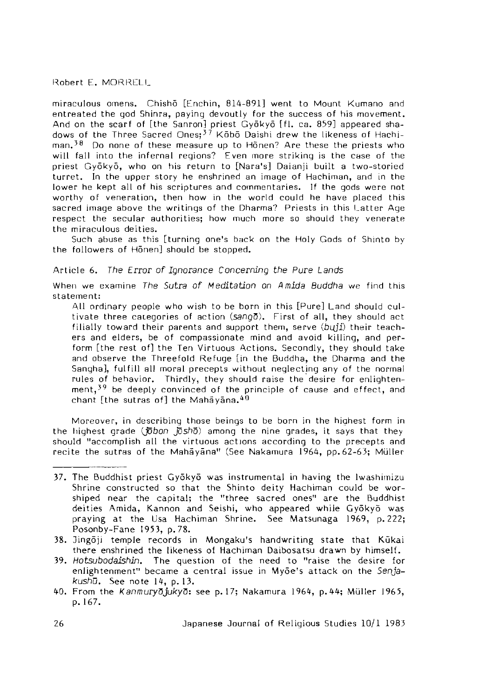miraculous omens. Chishō [Fnchin, 814-891] went to Mount Kumano and entreated the god Shinra, paying devoutly for the success of his movement. And on the scarf of [the Sanron] priest Gyōkyō [fl. ca. 859] appeared shadows of the Three Sacred Ones:<sup>37</sup> Kobo Daishi drew the likeness of Hachiman.<sup>38</sup> Do none of these measure up to Honen? Are these the priests who will fall into the infernal regions? Even more striking is the case of the priest Gyōkyō, who on his return to [Nara's] Daianji built a two-storied turret. In the upper story he enshrined an image of Hachiman, and in the lower he kept all of his scriptures and commentaries. If the gods were not worthy of veneration, then how in the world could he have placed this sacred image above the writings of the Dharma? Priests in this Latter Age respect the secular authorities; how much more so should they venerate the miraculous deities.

Such abuse as this [turning one's back on the Holy Gods of Shinto by the followers of Honen] should be stopped.

#### Article 6. *The Error of Ignorance Concerning the Pure Lands*

When we examine *The Sutra of Meditation on A mida Buddha* we find this statement:

All ordinary people who wish to be born in this [Pure] Land should cultivate three categories of action  $(sa\Omega_0\overline{\Omega})$ . First of all, they should act filially toward their parents and support them, serve *(b iijl)* their teachers and elders, be of compassionate mind and avoid killing, and perform [the rest of] the Ten Virtuous Actions. Secondly, they should take and observe the Threefold Refuge [in the Buddha, the Dharma and the Sangha], fulfill all moral precepts without neglecting any of the normal rules of behavior. Thirdly, they should raise the desire for enlightenment,  $39$  be deeply convinced of the principle of cause and effect, and chant [the sutras of] the Mahayana. $40$ 

Moreover, in describing those beings to be born in the highest form in the highest grade ( $\bar{p}$ bon  $\bar{p}$ sho) among the nine grades, it says that they should "accomplish all the virtuous actions according to the precepts and recite the sutras of the Mahayana" (See Nakamura 1964, pp. 62-63; Müller

- 39. *Hotsubodaishin,* The question of the need to "raise the desire fo r enlightenment" became a central issue in Myōe's attack on the Senja*kushū.* See note 14. p. 13.
- 40. From the *Kanmuryō jukyō*: see p. 17; Nakamura 1964, p. 44; Müller 1965, p. 167.

<sup>37.</sup> The Buddhist priest Gyōkyō was instrumental in having the lwashimizu Shrine constructed so that the Shinto deity Hachiman could be worshiped near the capital; the "three sacred ones" are the Buddhist deities Amida, Kannon and Seishi, who appeared while Gyōkyō was praying at the Usa Hachiman Shrine. See Matsunaga 1969, p. 222; Posonby-Fane 1953. p. 78.

<sup>38.</sup> Jingoji temple records in Mongaku's handwriting state that Kūkai there enshrined the likeness of Hachiman Daibosatsu drawn by himself.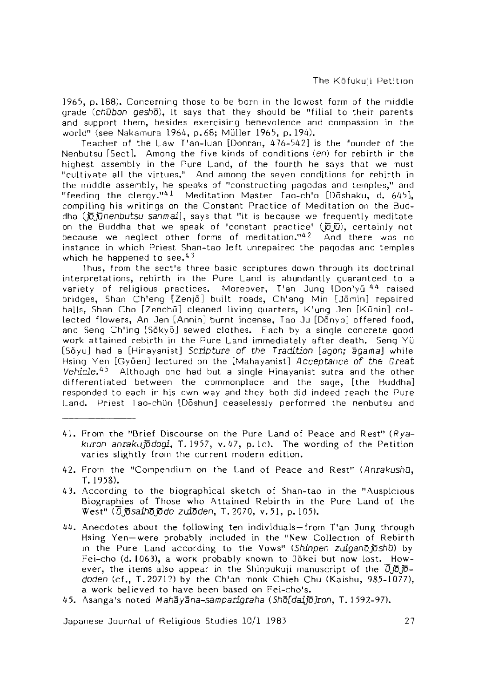1965, p. 188). Concerning those to be born in the lowest form of the middle grade (chubon gesho), it says that they should be "filial to their parents and support them, besides exercising benevolence and compassion in the world" (see Nakamura 1964, p. 68; Müller 1965, p. 194).

Teacher of the Law T'an-luan [Donran, 476-542] is the founder of the Nenbutsu [Sect], Among the five kinds of conditions (en) for rebirth in the hiahest assembly in the Pure Land, of the fourth he says that we must "cultivate all the virtues." And among the seven conditions for rebirth in the middle assembly, he speaks of "constructing pagodas and temples," and "feeding the clergy."<sup>41</sup> Meditation Master Tao-ch'o [Doshaku, d. 645], compiling his writings on the Constant Practice of Meditation on the Buddha *(JoJunenbutsu sanmai]*, says that "it is because we frequently meditate on the Buddha that we speak of 'constant practice' (瓦辺), certainly not because we neglect other forms of meditation**.**"<sup>42</sup> And there was no instance in which Priest Shan-tao left unrepaired the pagodas and temples which he happened to see. $43$ 

Thus, from the sect's three basic scriptures down through its doctrinal interpretations, rebirth in the Pure Land is abundantly quaranteed to a variety of religious practices. Moreover, T'an Jung [Don'yū]<sup>44</sup> raised bridges, Shan Ch'eng [Zenjo] built roads, Ch'ang Min [ Jomin] repaired halls, Shan Cho [Zenchū] cleaned living quarters, K'ung Jen [Kūnin] collected flowers, An Jen [Annin] burnt incense, Tao Ju [Dōnyo] offered food, and Seng Ch'ing [Sōkyō] sewed clothes. Each by a single concrete good work attained rebirth in the Pure Land immediately after death. Seng Yü [Soyu] had a [Hinayanist] *Scripture of the Tradition* [agon; agama] while Hsing Yen [Gyōen] lectured on the [Mahayanist] *Acceptance of the Great* Vehicle.45 Although one had but a single Hinayanist sutra and the other differentiated between the commonplace and the sage, [the Buddha] responded to each in his own way and they both did indeed reach the Pure Land. Priest Tao-chün [Dōshun] ceaselessly performed the nenbutsu and

- 41. From the "Brief Discourse on the Pure Land of Peace and Rest" (*Rya*kuron anrakujodogi, T. 1957, v. 47, p. lc). The wording of the Petition varies slightly from the current modern edition.
- 42. From the "Compendium on the Land of Peace and Rest" (Anrakushū, T . 1958).
- 43. According to the biographical sketch of Shan-tao in the "Auspicious Biographies of Those who Attained Rebirth in the Pure Land of the West" *(djdsaim jS do* zuiOden, T.2070, v.51, p. 105).
- 44. Anecdotes about the following ten individuals from T'an Jung through Hsing Yen—were probably included in the "New Collection of Rebirth in the Pure and according to the Vows" *(Shdnpen zuigandjdshu)* by Fei-cho (d. 1063), a work probably known to Jökei but now lost. However, the items also appear in the Shinpukuji manuscript of the  $\overline{0}j\overline{0}j\overline{0}$ doden (cf., T. 2071?) by the Ch'an monk Chieh Chu (Kaishu, 985-1077), a work believed to have been based on Fei-cho's.
- 45. Asanga's noted *Mahayana-samparigraha {5hd[daJJo]ronf* T . 1592-97).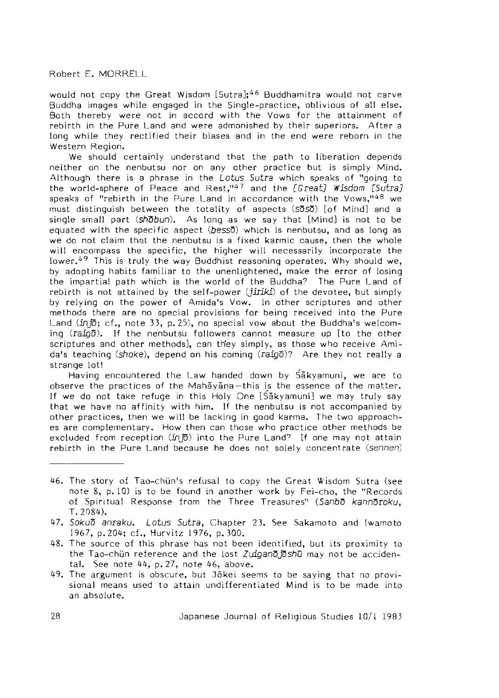would not copy the Great Wisdom [Sutra];<sup>46</sup> Buddhamitra would not carve Buddha images while engaged in the Single-practice, oblivious of all else. Both thereby were not in accord with the Vows for the attainment of rebirth in the Pure Land and were admonished by their superiors. After a long while they rectified their biases and in the end were reborn in the Western Region.

We should certainly understand that the path to liberation depends neither on the nenbutsu nor on any other practice but is simply Mind. Although there is a phrase in the *Lotus Sutra* which speaks of "going to the world-sphere of Peace and R est," 47 and the *[G reat] Wisdom [Sutra]* speaks of "rebirth in the Pure Land in accordance with the Vows," $48$  we must distinguish between the totality of aspects (so so ) [of Mind] and a single small part *(shobun)*. As long as we say that [Mind] is not to be equated with the specific aspect (besso) which is nenbutsu, and as long as we do not claim that the nenbutsu is a fixed karmic cause, then the whole will encompass the specific, the higher will necessarily incorporate the lower.<sup>49</sup> This is truly the way Buddhist reasoning operates. Why should we, by adopting habits familiar to the unenlightened, make the error of losing the im partial path which is the world of the Buddha? The Pure Land of rebirth is not attained by the self-power *(jiriki)* of the devotee, but simply by relying on the power of Amida's Vow. In other scriptures and other methods there are no special provisions for being received into the Pure Land  $\overline{in}$   $\overline{io}$ ; cf., note 33, p. 25), no special vow about the Buddha's welcoming *(raigo).* If the nenbutsu followers cannot measure up [to the other scriptures and other methods], can they simply, as those who receive Amida's teaching *(shoke),* depend on his coming *(rsdQO)?* Are they not really a strange lot!

Having encountered the Law handed down by Sakyamuni, we are to observe the practices of the Mahayana-this is the essence of the matter. If we do not take refuge in this Holy One [Sakyamuni] we may truly say that we have no affinity with him. If the nenbutsu is not accompanied by other practices, then we will be lacking in good karma. The two approaches are complementary. How then can those who practice other methods be excluded from reception *(injo)* into the Pure Land9 If one may not attain rebirth in the Pure Land because he does not solely concentrate (sennen)

- 46. The story of Tao-chun's refusal to copy the Great Wisdom Sutra (see note  $8$ ,  $p$ ,  $10$ ) is to be found in another work by Fei-cho, the "Records of Spiritual Response from the Three Treasures" *{SsnbD kanndroku,* T.208^).
- 7. *Sokud anraku. Lotus Sutra,* Chapter 23. See Sakamoto and wamoto 1967, p. 204; cf., Hurvitz 1976, p. 300.
- 48. The source of this phrase has not been identified, but its proximity to the Tao-chun reference and the lost *Zuigand idshu* may not be accidental. See note  $44$ , p.  $27$ , note  $46$ , above.
- 49. The argument is obscure, but Jōkei seems to be saying that no provisional means used to attain undifferentiated Mind is to be made into an absolute.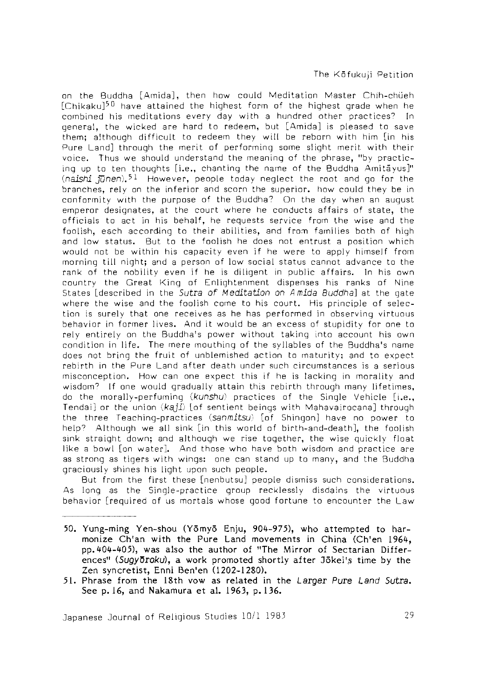on the Buddha [Amida], then how could Meditation Master Chih-chueh [Chikaku] $50$  have attained the highest form of the highest grade when he combined his meditations every day with a hundred other practices? In general, the wicked are hard to redeem, but [Amida] is pleased to save them; although difficult to redeem they will be reborn with him [in his Pure Land] through the merit of performing some slight merit with their voice. Thus we should understand the meaning of the phrase, "by practicing up to ten thoughts [i.e., chanting the name of the Buddha Amitayus]"  $(n_1)$   $\bar{m}$  near  $\bar{b}$ . However, people today neglect the root and go for the branches, rely on the in ferior and scorn the superior, how could they be in conform ity with the purpose of the Buddha? On the day when an august emperor designates, at the court where he conducts affairs of state, the officials to act in his behalf, he requests service from the wise and the foolish, each according to their abilities, and from families both of high and low status. But to the foolish he does not entrust a position which would not be within his capacity even if he were to apply himself from morning till night; and a person of low social status cannot advance to the rank of the nobility even if he is diligent in public a ffairs. In his own country the Great King of Enlightenment dispenses his ranks of Nine States [described in the Sutra of Meditation on A mida Buddha] at the gate where the wise and the foolish come to his court. His principle of selection is surely that one receives as he has performed in observing virtuous behavior in former lives. And it would be an excess of stupidity for one to rely entirely on the Buddha's power without taking into account his own condition in life. The mere mouthing of the syllables of the Buddha's name does not bring the fruit of unblemished action to maturity; and to expect rebirth in the Pure Land after death under such circumstances is a serious misconception. How can one expect this if he is lacking in morality and wisdom? If one would gradually attain this rebirth through many lifetimes, do the morally-perfuming (kunshu) practices of the Single Vehicle [i.e., Tendai] or the union *(kaji)* [of sentient beings with Mahavairocana] through the three Teaching-practices (sanmitsu) [of Shingon] have no power to help9 Although we all sink [in this world of birth-and-death], the foolish sink straight down; and although we rise together, the wise quickly float like a bowl [on water]. And those who have both wisdom and practice are as strong as tigers with wings: one can stand up to many, and the Buddha graciously shines his light upon such people.

But from the first these [nenbutsu] people dismiss such considerations. As long as the Singje-practice group recklessly disdains the virtuous behavior [required of us mortals whose good fortune to encounter the Law

- 50. Yung-ming Yen-shou (Yōmyō Enju, 904-975), who attempted to harmonize Ch'an with the Pure Land movements in China (Ch'en 1964, pp. 404-405), was also the author of "The Mirror of Sectarian Differences" (Sugyōroku), a work promoted shortly after Jōkei's time by the Zen syncretist, Enni Ben'en (1202-1280).
- 5 1 . Phrase from the 18th vow as related in the L arger *Pure Land 5utra.* See p. 16, and Nakamura et al. 1963, p. 136.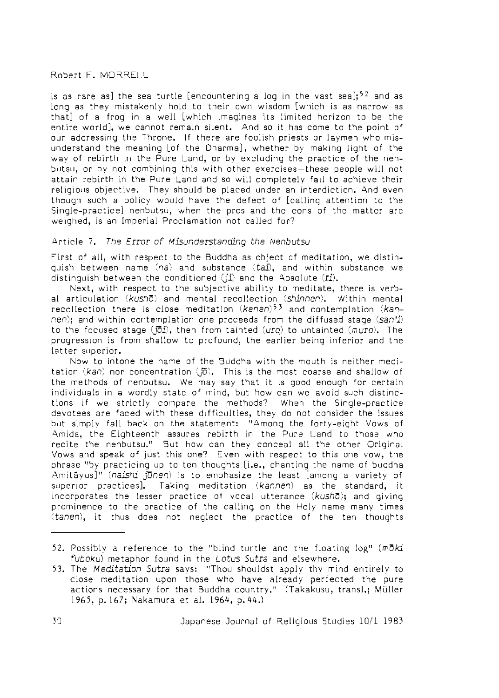is as rare as] the sea turtle [encountering a log in the vast sea];<sup>52</sup> and as long as they mistakenly hold to their own wisdom [which is as narrow as that] of a frog in a well [which imagines its limited horizon to be the entire world], we cannot remain silent. And so it has come to the point of our addressing the Throne. If there are foolish priests or laymen who misunderstand the meaning [of the Dharma], whether by making light of the way of rebirth in the Pure Land, or by excluding the practice of the nenbutsu, or by not combining this w ith other exercises —these people w ill not attain rebirth in the Pure Land and so will completely fail to achieve their religious objective. They should be placed under an interdiction. And even though such a policy would have the defect of [calling attention to the Single-practice] nenbutsu, when the pros and the cons of the matter are weighed, is an Imperial Proclamation not called for?

## Article 7. The Error of Misunderstanding the Nenbutsu

First of all, with respect to the Buddha as object of meditation, we distinguish between name *[na)* and substance (tai), and within substance we distinguish between the conditioned *(Ji)* and the Absolute (ri).

Next, with respect to the subjective ability to meditate, there is verbal articulation *(kusho)* and mental recollection *ishlnnen).* Within mental recollection there is close meditation (kenen)<sup>53</sup> and contemplation (kan*nen);* and within contemplation one proceeds from the diffused stage *(san'f)* to the focused stage ( $\overline{0}I$ ), then from tainted *(uro)* to untainted *(muro)*. The progression is from shallow to profound, the earlier being inferior and the latter superior.

Now to intone the name of the Buddha w ith the mouth is neither meditation (kan) nor concentration (范). This is the most coarse and shallow of the methods of nenbutsu. We may say that it is good enough for certain individuals in a wordly state of mind, but how can we avoid such distinctions if we strictly compare the methods? When the Single-practice devotees are faced with these difficulties, they do not consider the issues but simply fall back on the statement: "Among the forty-eight Vows of Amida, the Eighteenth assures rebirth in the Pure Land to those who recite the nenbutsu." But how can they conceal all the other Original Vows and speak of just this one? Even w ith respect to this one vow, the phrase "by practicing up to ten thoughts [i.e., chanting the name of buddha Amitāyus]" (naishi jūnen) is to emphasize the least [among a variety of superior practices]. Taking meditation *ikannen)* as the standard, it incorporates the lesser practice of vocal utterance (kusho); and giving prominence to the practice of the calling on the Holy name many times (tanen), it thus does not neglect the practice of the ten thoughts

<sup>52.</sup> Possibly a reference to the "blind turtle and the floating log" (moki *fuboku)* metaphor found in the *Lotus Sutra* and elsewhere.

<sup>53.</sup> The *Meditation Sutra* says: "Thou shouldst apply thy mind entirely to close meditation upon those who have already perfected the pure actions necessary for that Buddha country." (Takakusu, transl.; Müller 1965, p. 167; Nakamura et al. 1964, p. 44.)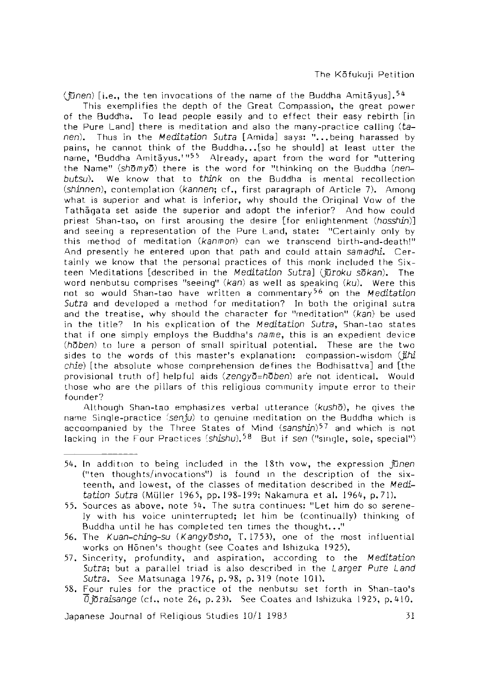$(men)$  [i.e., the ten invocations of the name of the Buddha Amitavus].<sup>54</sup>

This exemplifies the depth of the Great Compassion, the great power of the Buddha. To lead people easily and to effect their easy rebirth [in the Pure Land] there is meditation and also the many-practice calling (tanen). Thus in the *Meditation Sutra* [Amida] says: "...being harassed by pains, he cannot think of the Buddha... [so he should] at least utter the name, 'Buddha Amita yus.'" $55$  Already, apart from the word for "uttering the Name" *(shomyo)* there is the word for "thinking on the Buddha *(nenbutsu).* We know that to *think* on the Buddha is mental recollection (shinnen), contemplation *(kannen*: cf., first paragraph of Article 7). Among what is superior and what is inferior, why should the Original Vow of the Tathagata set aside the superior and adopt the inferior? And how could priest Shan-tao, on first arousing the desire *[for enlightenment (hosshin*)] and seeing a representation of the Pure Land, state: "Certainly only by this method of meditation (kanmon) can we transcend birth-and-death!" And presently he entered upon that path and could attain *samadhi,* Certainly we know that the personal practices of this monk included the Sixteen M editations [described in the *M editation* Sutra] *(Juroku sdkan).* The word nenbutsu comprises "seeing" (kan) as welt as speaking *(ku).* Were this not so would Shan-tao have written a commentary<sup>56</sup> on the *Meditation Sutra* and developed a method for meditation? In both the original sutra and the treatise, why should the character for "meditation" (kan) be used in the title? In his explication of the *Meditation Sutra*, Shan-tao states that if one simply employs the Buddha's *name*,this is an expedient device *(hQben)* to lure a person of small spiritual potential. These are the two sides to the words of this master's explanation: compassion-wisdom *[Jihi chie) [* the absolute whose comprehension defines the Bodhisattva] and [the provisional truth of] helpful aids (zenqyō=hōben) are not identical. Would those who are the pillars of this religious community impute error to their founder?

Although Shan-tao emphasizes verba! utterance *(kusho),* he gives the name Single-practice *[senju)* to genuine neditation on the Buddha which is accoompanied by the Three States of Mind *(sanshin)<sup>57</sup>* and which is not lacking in the Four Practices (shishu)<sup>58</sup> But if sen ("single, sole, special")

57. Sincerity, profundity, and aspiration, according to the *M editation Sutra* but a parallel triad is also described in the *Larger Pure Land Sutra,* See Matsunaga 1976, p. 98, p. 319 (note 101).

<sup>5^.</sup> In addition to being included in the 18th vow, the expression *Junen* ("ten thoughts/invocations") is found in the description of the sixteenth, and lowest, of the classes of meditation described in the *Meditation Sutra* (Müller 1965, pp. 198-199; Nakamura et al. 1964, p. 71).

<sup>55.</sup> Sources as above, note 54. The sutra continues: "Let him do so serenely w ith his voice uninterrupted; let him be (continually) thinking of Buddha until he has completed ten times the thought..."

<sup>56.</sup> The *Kuan-ching-su (Kangyosho,* T . 1753), one of the most influential works on Hönen's thought (see Coates and Ishizuka 1925).

<sup>58.</sup> Four rules for the practice of the nenbutsu set forth in Shan-tao's  $\overline{0}$  *joraisange* (cf., note 26, p. 23). See Coates and Ishizuka 1925, p. 410.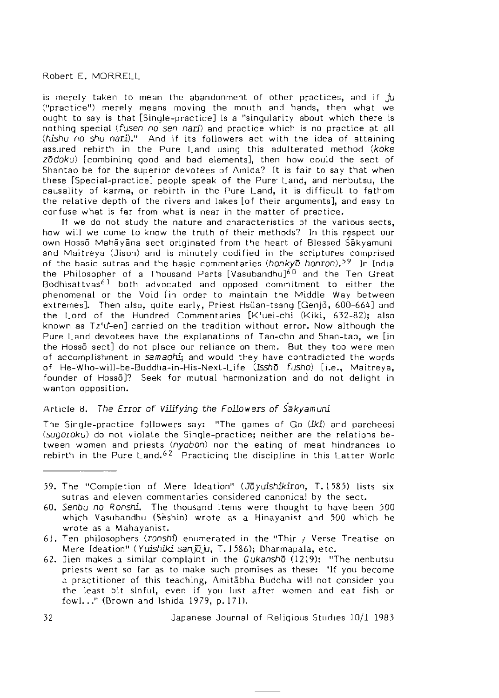is merely taken to mean the abandonment of other practices, and if *ju* ("practice") merely means moving the mouth and hands, then what we ought to say is that [Single-practice] is a "singularity about which there is nothing special *(fusen no sen nari)* and practice which is no practice at all *{hishu no shu* nari)." And if its follow ers act with the idea of attaining assured rebirth in the Pure Land using this adulterated method *(koke zddoku)* [combining good and bad elements], then how could the sect of Shantao be for the superior devotees of Amida? It is fair to say that when these [Special-practice] people speak of the Pure Land, and nenbutsu, the causality of karma, or rebirth in the Pure Land, it is difficult to fathom the relative depth of the rivers and lakes [of their arguments], and easy to confuse what is far from what is near in the m atter of practice.

If we do not study the nature and characteristics of the various sects, how will we come to know the truth of their methods? In this respect our own Hoss5 Mahayana sect originated from the heart of Blessed S'akyamuni and Maitreya (Jison) and is minutely codified in the scriptures comprised of the basic sutras and the basic commentaries *{honkyo honron).^9* In India the Philosopher of a Thousand Parts [Vasubandhu]<sup>60</sup> and the Ten Great Bodhisattvas<sup>61</sup> both advocated and opposed commitment to either the phenomenal or the Void [in order to maintain the Middle Way between extremes]. Then also, quite early, Priest Hsuan-tsang [Genjo, 600-664] and the Lord of the Hundred Commentaries [K'uei-chi (Kiki, 632-82); also known as Tz'd-en] carried on the tradition without error. Now although the Pure Land devotees have the explanations of Tao-cho and Shan-tao, we [in the Hosso sect] do not place our reliance on them. But they too were men of accomplishment in *samadhi;* and would they have contradicted the words of He-Who-will-be-Buddha-in-His-Next-Life *{Issho fusho)* [i.e., Maitreya, founder of Hosso]? Seek for mutual harmonization and do not delight in wanton opposition.

# Article 8. *The Error of Vilifying the Followers of Sakyamuni*

The Single-practice followers say: "The games of Go  $(ik\mathbf{i})$  and parcheesi *(sugoroku)* do not violate the Single-practice; neither are the relations between women and priests *(nyobon)* nor the eating of meat hindrances to rebirth in the Pure Land.<sup>62</sup> Practicing the discipline in this Latter World

- 59. The "Completion of Mere Ideation" (Joyuishikiron, T. 1585) lists six sutras and eleven commentaries considered canonical by the sect.
- 60. *Senbu no Ronshi.* The thousand items were thought to have been 500 which Vasubandhu (Seshin) wrote as a Hinayanist and 500 which he wrote as a Mahayanist.
- 6 1 . Ten philosophers *(ronshi)* enumerated in the "Thir / Verse Treatise on Mere Ideation" ( *Yuishiki sanjuju,* T. J 586); DharmapaJa, etc.
- 62. 3ien makes a similar complaint in the *Gukansho* (1219): "The nenbutsu priests went so far as to make such promises as these: 'If you become a practitioner of this teaching, Amitabha Buddha will not consider you the least bit sinful, even if you lust after women and eat fish or fowl..." (Brown and Ishida 1979, p. 171).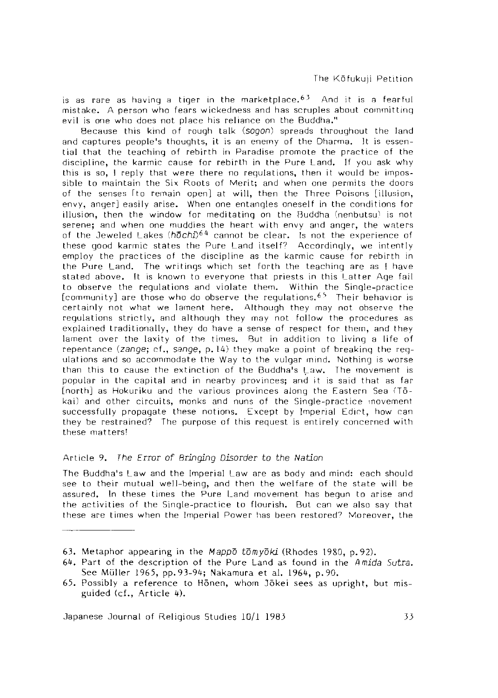is as rare as having a tiger in the marketplace. $63$  And it is a fearful mistake. A person who fears wickedness and has scruples about committing evil is one who does not place his reliance on the Buddha."

Because this kind of rough talk *(sogon)* spreads throughout the land and captures people's thoughts, it is an enemy of the Dharma. It is essential that the teaching of rebirth in Paradise promote the practice of the discipline, the kannic cause for rebirth in the Pure Land. If you ask why this is so, I reply that were there no requiations, then it would be impossible to maintain the Six Roots of Merit; and when one permits the doors of the senses Ito remain open] at will, then the Three Poisons [illusion, envy, anger] easily arise. When one entangles oneself in the conditions for illusion, then the window for meditating on the Buddha (nenbutsu) is not serene; and when one muddies the heart with envy and anger, the waters of the Jeweled Lakes *(hochi)6 ^* cannot be clear. Is not the experience of these good karmic states the Pure Land itself? Accordingly, we intently employ the practices of the discipline as the karmic cause for rebirth in the Pure Land. The writings which set forth the teaching are as [ have stated above. It is known to everyone that priests in this Latter Age fail to observe the regulations and violate them. Within the Single-practice  $[community]$  are those who do observe the regulations.<sup>65</sup> Their behavior is certainly not what we lament here. Although they may not observe the regulations strictly, and although they may not follow the procedures as explained traditionally, they do have a sense of respect for them, and they lament over the laxity of the times. But in addition to living a life of repentance *(zange*; cf., sange, p. 14) they make a point of breaking the regulations and so accommodate the Way to the vulgar mind. Nothina is worse than this to cause the extinction of the Buddha's Law. The movement is popular in the capital and in nearby provinces; and it is said that as far [north] as Hokuriku and the various provinces along the Eastern Sea (Tokai) and other circuits, monks and nuns of the Single-practice movement successfully propagate these notions. Except by Imperial Edict, how can they be restrained? The purpose of this request is entirely concerned with these matters!

## Article 9. *The Error of Bringing Disorder to the Nation*

The Buddha's Law and the Imperial Law are as body and mind: each should see to their mutual well-being, and then the welfare of the state will be assured. In these times the Pure Land movement has begun to arise and the activities of the Single-practice to flourish. But can we also say that these are times when the Imperial Power has been restored7 Moreover, the

<sup>63.</sup> Metaphor appearing in the *Mappo tdm ydki* (Rhodes 1980, p. 92).

<sup>64.</sup> Part of the description of the Pure and as found in the *A mida Sutra.* See Müller 1965, pp. 93-94; Nakamura et al. 1964, p. 90.

<sup>65.</sup> Possibly a reference to Honen, whom Jokei sees as upright, but misguided (cf., Article 4).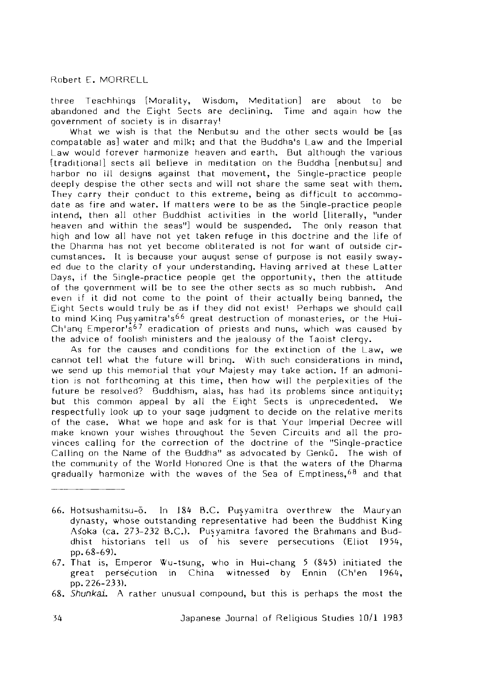three Teachhings [Morality, Wisdom, Meditation] are about to be abandoned and the Eight Sects are declining. Time and again how the government of society is in disarray!

What we wish is that the Nenbutsu and the other sects would be [as compatable as] water and milk; and that the Buddha's Law and the Imperial Law would forever harmonize heaven and earth. But although the various [traditional] sects all believe in meditation on the Buddha [nenbutsu] and harbor no ill designs against that movement, the Single-practice people deeply despise the other sects and will not share the same seat with them. They carry their conduct to this extreme, being as difficult to accommodate as fire and water. If matters were to be as the Single-practice people intend, then all other Buddhist activities in the world [literally, "under heaven and within the seas"] would be suspended. The only reason that high and low all have not yet taken refuge in this doc trine and the life of the Dharma has not yet become obliterated is not for want of outside circumstances. It is because your august sense of purpose is not easily swayed due to the clarity of your understanding. Having arrived at these Latter Days, if the Single-practice people get the opportunity, then the attitude of the government w ill be to see the other sects as so much rubbish. And even if it did not come to the point of their actually being banned, the Eight Sects would truly be as if they did not exist! Perhaps we should call to mind King Pusyamitra's<sup>66</sup> great destruction of monasteries, or the Hui-Ch'ang Emperor's<sup>67</sup> eradication of priests and nuns, which was caused by the advice *of* foolish ministers and the jealousy of the Taoist clergy.

As for the causes and conditions for the extinction of the Law, we cannot tell what the future will bring. With such considerations in mind, we send up this memorial that your Majesty may take action. If an admonition is not forthcoming at this time, then how w ill the perplexities of the future be resolved? Buddhism, alas, has had its problems since antiquity; but this common appeal by all the Eight Sects is unprecedented. We respectfully look up to your sage judgment to decide on the relative merits of the case. What we hope and ask for is that Your Imperial Decree will make known your wishes throughout the Seven Circuits and all the provinces calling for the correction of the doctrine of the "Single-practice Calling on the Name of the Buddha" as advocated by Genku. The wish of the community of the World Honored One is that the waters of the Dharma gradually harmonize with the waves of the Sea of Emptiness,<sup>68</sup> and tha!

- 66. Hotsushamitsu-o. In 184 B.C. Pusyamitra overthrew the Mauryan dynasty, whose outstanding representative had been the Buddhist King Asoka (ca. 273-232 B.C.). Pusyamitra favored the Brahmans and Buddhist historians tell us of his severe persecutions (Eliot 1954, pp. 68-69).
- 67. That is, Emperor Wu-tsung, who in Hui-chang 5 (845) initiated the great persecution in China witnessed by Ennin (Ch'en 1964, pp. 226-233).
- <sup>68</sup>. *Shunkai.* A rather unusual compound, but this is perhaps the most the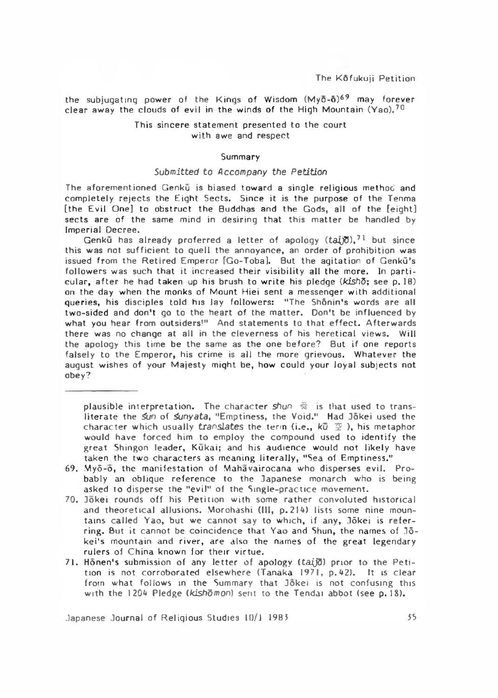the subjugating power of the Kings of Wisdom  $(My\bar{o}-\bar{o})^{69}$  may forever clear away the clouds of evil in the winds of the High Mountain (Yao).<sup>70</sup>

## This sincere statement presented to the court with awe and respect

## Summary

#### *Submitted to A ccompany the P etition*

The aforementioned Genku is biased toward a single religious method and completely rejects the Eight Sects. Since it is the purpose of the Tenma [the Evil One] to obstruct the Buddhas and the Gods, all of the [eight] sects are of the same mind in desiring that this matter be handled by Im perial Decree.

Genku has already proferred a letter of apology  $(ta\bar{y})$ ,<sup>71</sup> but since this was not sufficient to quell the annoyance, an order of prohibition was issued from the Retired Emperor [Go-Toba]. But the agitation of Genkū's followers was such that it increased their visibility all the more. In particu la r, a fte r he had taken up his brush to w rite his pledge *{kishQ;* see p . 18) on the day when the monks of Mount Hiei sent a messenger with additional queries, his disciples told his lay followers: "The Shonin's words are all two-sided and don't go to the heart of the matter. Don't be influenced by what you hear from outsiders!" And statements to that effect. Afterwards there was no change at all in the cleverness of his heretical views. Will the apology this time be the same as the one before? But if one reports falsely to the Emperor, his crime is all the more grievous. Whatever the august wishes of your Majesty might be, how could your loyal subjects not obey?

plausible interpretation. The character *shun* 蜀 is that used to transliterate the *Sun* of *Sunyata*, "Emptiness, the Void." Had Jokei used the character which usually *translates* the term (i.e.,  $k\bar{u} \nsubseteq$ ), his metaphor would have forced him to employ the compound used to **identify** the great Shingon leader, Kukai; and his audience would not likely have taken the two characters as meaning literally, "Sea of Emptiness."

- 69. Myō-ō, the manifestation of Mahavairocana who disperses evil. Probably an oblique reference to the Japanese monarch who is being asked to disperse the "evil" of the Single-practice movement.
- 70. Jokei rounds off his Petition with some rather convoluted historical and theoretical allusions. Morohashi (III, p. 214) lists some nine mountains called Yao, but we cannot say to which, if any, Jōkei is referring. But it cannot be coincidence that Yao and Shun, the names of  $J\bar{o}$ kei's mountain and river, are also the names of the great legendary rulers of China known for their virtue.
- 71. Honen's submission of any letter of apology (taid) prior to the Petition is not corroborated elsewhere (Tanaka 1971, p. 42). It is clear from what follows in the Summary that Jokei is not confusing this with the 1204 Pledge *(kishomon)* sent to the Tendai abbot (see p. 18).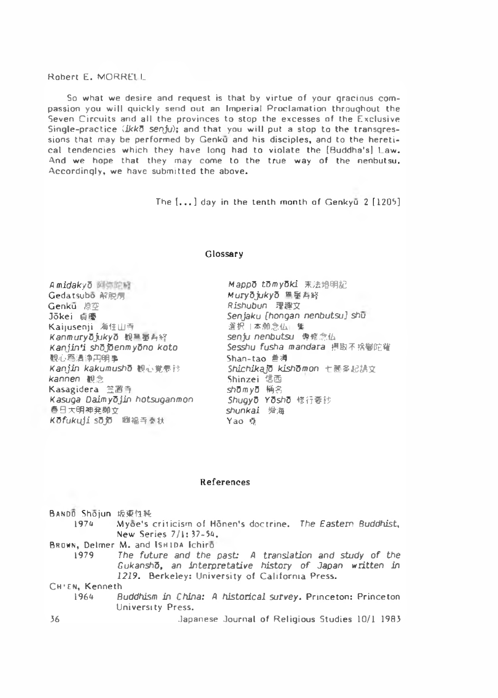So what we desire and request is that by virtue of your gracious compassion you will quickly send out an Imperial Proclamation throughout the Seven Circuits and all the provinces to stop the excesses of the Exclusive Single-practice *(IkkO senju)*; and that you will put a stop to the transgressions that may be performed by Genku and his disciples, and to the heretical tendencies which they have long had to violate the [Buddha's] Law. And we hope that they may come to the true way of the nenbutsu. Accordingly, we have submitted the above.

The  $[...]$  day in the tenth month of Genkyū 2  $[1205]$ 

#### Glossary

*A midakyd* Gedatsubo 解脫病 Genkū 原空 Jōkei 自慶 Kaijusenji 海住山寺 KanmuryDjukyD 银黑墨西好 *K a n jin 'i sh^JOenmyGno koto* 観心禹渴澤円明争 Kanjin kakumusho 旭心覚夢沙 **kannen** 但念 Kasagidera 笠證今 *Kasuga Daim y^jin hotsuganmon* 3 太明神発睇艾 *KOfuki^ji* S5J0 ® 福弓要状

Mappo tomyoki 末法增明記  $M$ uryōjukyō 里是再終 *R is h u b u n* 理埋文 *Senjaku [hongan nenbutsu] shu* 選択丨本願念仏*% senju nenbutsu* 考修念仏 *Sesshu fusha mandara* 摂取不株®陀雄 Shan-tao 砉再 Shichika<sup>7</sup> kishomon 七箇条起請文 Shinzei 信西 shōmyō 桶名 Shugyō Yōshō 修行要抄 *shunkai* 舜海 Yao @

#### References

| BANDO Shojun 坂東性純 |                                                             |  |
|-------------------|-------------------------------------------------------------|--|
| 1974              | Myde's criticism of Honen's doctrine. The Eastern Buddhist, |  |
|                   | New Series 7/1:37-54.                                       |  |
|                   |                                                             |  |

**BROWN, Delmer M. and ISHIDA Ichiro** 

1979 The future and the past: A translation and study of the  $G$ ukansho, an interpretative history of Japan written in 1219. Berkeley: University of California Press.

CH'EN, Kenneth

- 1964 Buddhism in China: A historical survey, Princeton: Princeton University Press.
- 36 Japanese Journal o f R eligious Studies 10/1 1983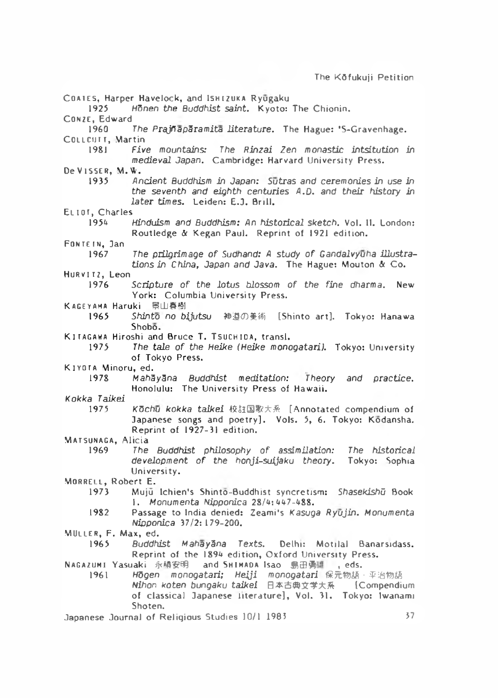COATES, Harper Havelock, and ISHIZUKA Ryugaku 1925 Honen the Buddhist saint. Kvoto: The Chionin. CONZE, Edward The Prajhaparamita literature. The Hague: 'S-Gravenhage. COLLCUTT, Martin<br>1981 Five mountains: 1981 *Five mountains: The Rinzai Zen monastic in tsitu tio n* in *medieval Japan.* Cambridge: Harvard University Press. De Visser, M.W.<br>1935 An 1935 *Ancient Buddhism in Japan: Sutras and ceremonies in use in the seventh and eighth centuries* A.D. and their history in later times. Leiden: E.J. Brill.  $ELI01$ , Charles Hinduism and Buddhism: An historical sketch. Vol. II. London: Routledge & Kegan Paul. Reprint of 1921 edition. FONTEIN, Jan 1967 The prilgrimage of Sudhand: A study of Gandalvyuha illustrations in China, Japan and Java. The Hague: Mouton & Co. Hurvitz, Leon 1976 Scripture of the lotus blossom of the fine dharma. New York: Columbia University Press. KAGEYAMA Haruki HLI喜樹 1965 Shinto no bijutsu 神道の美術 [Shinto art]. Tokyo: Hanawa Shobo.  $K$  **ITAGAWA** Hiroshi and Bruce T. TSUCHIDA, transl. 1975 The tale of the Heike (Heike monogatari). Tokyo: University of Tokyo Press. K IYOTA Minoru, ed. 1978 *MahSySna Buddhist meditation: Theory and practice.* Honolulu: The University Press of Hawaii. *Kokka Taikei* Kochu kokka taikei 校註国歌大系 [Annotated compendium of Japanese songs and poetry]. Vols. 5, 6. Tokyo: Kodansha. Reprint of 1927-31 edition. MATSUNAGA, Alicia<br>1969 - The The Buddhist philosophy of assimilation: The historical *development of the honji-suijaku theory*. Tokyo: Sophia University. MORRELL, Robert E. 1973 M uju Ichien's S hinto-B uddhist syncretism : *ShasekishG* Book 1. Monumenta Nipponica 28/4:447-488. 1982 Passage to India denied: Zeami's *Kasuga Ryūjin. Monumenta Nipponica* 37/2: 179-200. MULLER, F. Max, ed. 1965 *Buddhist MahaySna Texts.* Delhi: M o tila l Banarsidass. Reprint of the 1894 edition, Oxford University Press. **NAGAZUMI Yasuaki 永積安明 and SHIMADA Isao 島田勇雄 , eds.** 1961 **Hogen monogatari: Heiji monogatari** 保元物語 亚治物語 **Nihon koten bungaku taikei 日本古典文学大系 【Compendium** of classical Japanese literature], Vol. 31. Tokyo: Iwanami Shoten. Japanese Journal of Religious Studies 10/1 1983